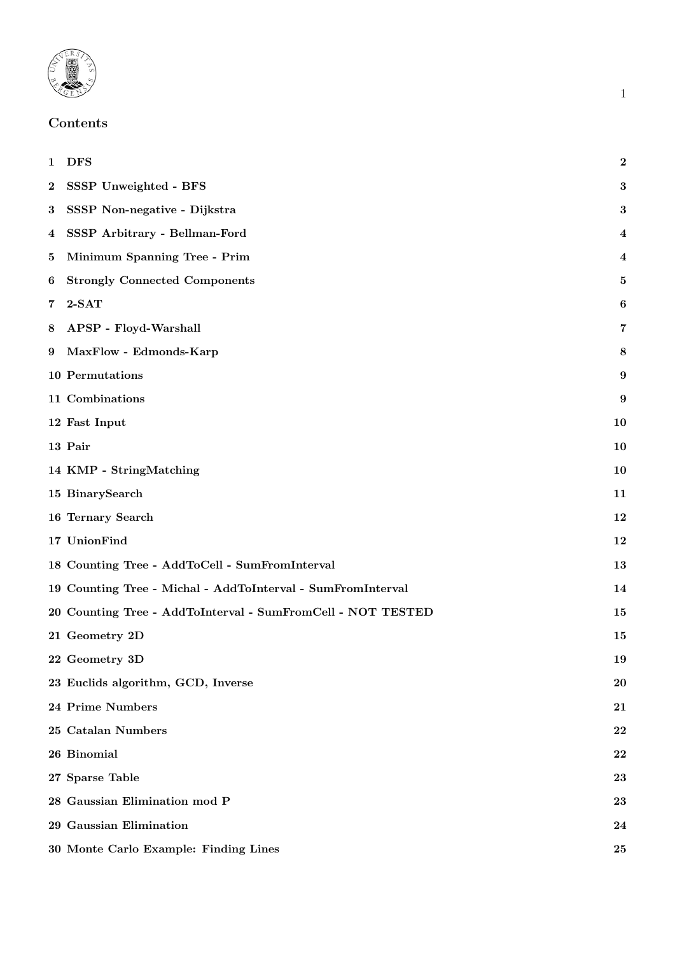

# Contents

<span id="page-0-0"></span>

|          | 1 DFS                                                       | $\bf{2}$  |
|----------|-------------------------------------------------------------|-----------|
| $\bf{2}$ | SSSP Unweighted - BFS                                       | 3         |
| $\bf{3}$ | SSSP Non-negative - Dijkstra                                | 3         |
|          | 4 SSSP Arbitrary - Bellman-Ford                             | 4         |
| 5        | Minimum Spanning Tree - Prim                                | 4         |
| 6        | <b>Strongly Connected Components</b>                        | 5         |
| 7        | $2-SAT$                                                     | 6         |
|          | 8 APSP - Floyd-Warshall                                     | 7         |
|          | 9 MaxFlow - Edmonds-Karp                                    | 8         |
|          | 10 Permutations                                             | 9         |
|          | 11 Combinations                                             | 9         |
|          | 12 Fast Input                                               | <b>10</b> |
|          | 13 Pair                                                     | 10        |
|          | 14 KMP - StringMatching                                     | 10        |
|          | 15 BinarySearch                                             | 11        |
|          | 16 Ternary Search                                           | 12        |
|          | 17 UnionFind                                                | 12        |
|          | 18 Counting Tree - AddToCell - SumFromInterval              | 13        |
|          | 19 Counting Tree - Michal - AddToInterval - SumFromInterval | 14        |
|          | 20 Counting Tree - AddToInterval - SumFromCell - NOT TESTED | 15        |
|          | 21 Geometry 2D                                              | 15        |
|          | 22 Geometry 3D                                              | 19        |
|          | 23 Euclids algorithm, GCD, Inverse                          | 20        |
|          | 24 Prime Numbers                                            | 21        |
|          | 25 Catalan Numbers                                          | 22        |
|          | 26 Binomial                                                 | 22        |
|          | 27 Sparse Table                                             | 23        |
|          | 28 Gaussian Elimination mod P                               | 23        |
|          | 29 Gaussian Elimination                                     | 24        |
|          | 30 Monte Carlo Example: Finding Lines                       | 25        |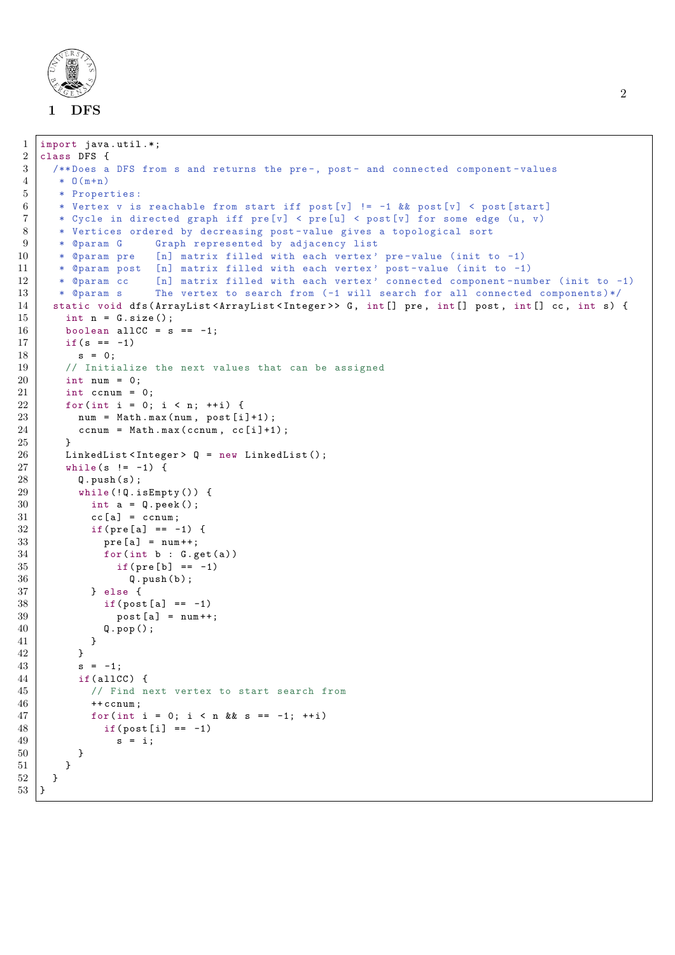

```
1 import java.util.*;
\begin{array}{c|cc}\n2 & \text{class DFS} & \text{if} \\
3 & \text{/*} & \text{Does} \\
\end{array}/** Does a DFS from s and returns the pre-, post- and connected component-values
 4 \times 0(m+n)5 * Properties :
 6 * Vertex v is reachable from start iff post [v] != -1 && post [v] < post [start]
 7 * Cycle in directed graph iff pre[v] < pre[u] < post [v] for some edge (u, v)
 8 | * Vertices ordered by decreasing post-value gives a topological sort
9 | * @param G Graph represented by adjacency list
10 * @param pre [n] matrix filled with each vertex' pre-value (init to -1)<br>11 * @param post [n] matrix filled with each vertex' post-value (init to -1)
       * @param post [n] matrix filled with each vertex' post-value (init to -1)
12 | * @param cc [n] matrix filled with each vertex' connected component-number (init to -1)
13 | * @param s The vertex to search from (-1 will search for all connected components)*/
14 static void dfs (ArrayList < ArrayList < Integer >> G, int [] pre, int [] post, int [] cc, int s) {
15 int n = G.size();
16 boolean allCC = s = -1;
17 if (s == -1)
18 s = 0;
19 // Initialize the next values that can be assigned
20 int num = 0;
21 int ccnum = 0;
22 for (int i = 0; i < n; ++i) {
23 num = Math.max(num, post[i]+1);
24 ccnum = Math.max (ccnum, cc [i]+1);
25 }
26 | LinkedList < Integer > Q = new LinkedList ();
27 while (s != -1) {
28 Q. push (s);
29 while (!Q.isEmpty ()) {
30 int a = Q. peek();
\begin{array}{c|c}\n 31 & \text{cc} \texttt{[a]} = \texttt{ccum}; \\
 32 & \text{if} \texttt{(pre} \texttt{[a]} == -\n \end{array}if(pre[a] == -1) {
33 | pre[a] = num++;34 for (int b : G.get (a))
35 if (pre [b] == -1)
36 Q. push (b);
37 } else {
38 if (post[a] == -1)39 | post [a] = num ++;
\begin{array}{c|c} 40 & \text{Q.pop}(); \\ 41 & \text{P} \end{array}\begin{array}{c|c}\n41 & \\
42 & \n\end{array}42 }
43 s = -1:
44 if(allCC) {
45 // Find next vertex to start search from
46 ++ccnum;
47 for(int i = 0; i < n && s == -1; ++i)
48 if (post[i] == -1)49 s = i;
50 }
51 }
52 \mid \cdot \}53 \mid \}
```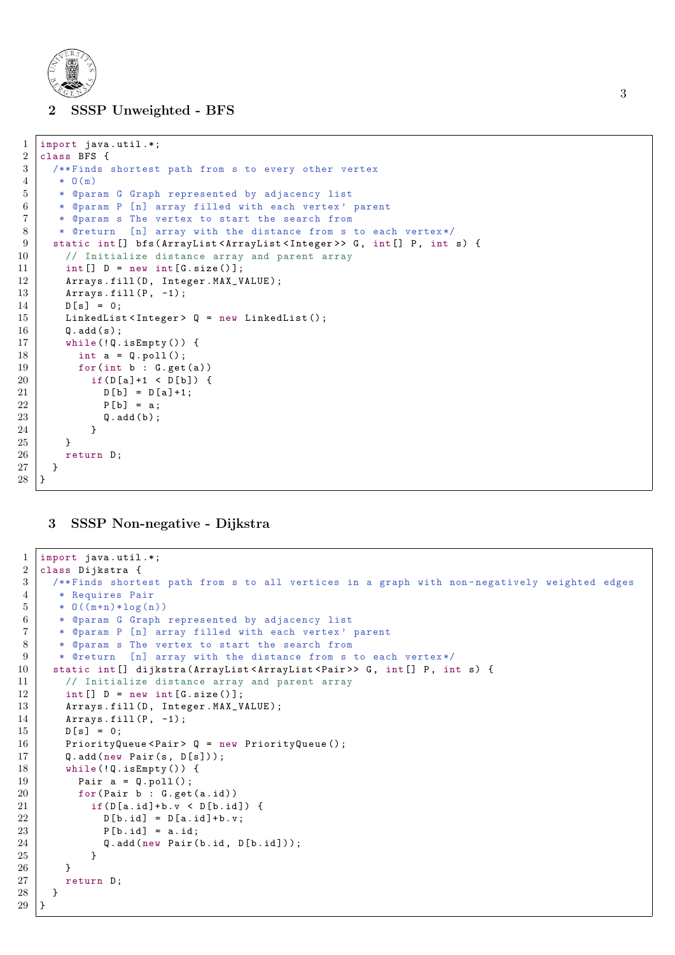

### <span id="page-2-0"></span>2 SSSP Unweighted - BFS

```
1 import java.util.*;
\begin{array}{c|cc}\n2 & \text{class BFS} & \text{if} \\
3 & \text{/*} & \text{Find} \\
\end{array}/**Finds shortest path from s to every other vertex
4 \times 0(m)5 * @param G Graph represented by adjacency list
6 | * @param P [n] array filled with each vertex' parent
7 | * @param s The vertex to start the search from
8 | * @return [n] array with the distance from s to each vertex*/
9 | static int [] bfs (ArrayList <ArrayList <Integer >> G, int [] P, int s) {
10 \vert // Initialize distance array and parent array<br>11 \vert int [] D = new int [G.size()]:
        int [] D = new int [G.size()];12 | Arrays.fill (D, Integer.MAX_VALUE);
13 \vert Arrays . fill (P, -1);
14 D [s] = 0;
15 LinkedList <Integer > Q = new LinkedList ();
16 Q. add (s);
17 while (!Q.isEmpty ()) {
18 int a = Q. poll();
19 for (int b : G.get (a))
20 \vert if (D[a]+1 < D[b]) {
21 D [b] = D [a] +1;
22 P [b] = a;
\begin{array}{c|c} 23 & \mathsf{Q.add(b)}; \\ 24 & \mathsf{Q.add(b)} \end{array}24 }
25 }
26 return D;
27 \mid \}28 }
```
# <span id="page-2-1"></span>3 SSSP Non-negative - Dijkstra

```
1 import java.util.*;
2 class Dijkstra {
3 | /**Finds shortest path from s to all vertices in a graph with non-negatively weighted edges
4 * Requires Pair
5 * 0((m+n)*log(n))
6 | * @param G Graph represented by adjacency list
7 * @param P [n] array filled with each vertex ' parent
8 * @param s The vertex to start the search from
9 | * @return [n] array with the distance from s to each vertex */
10 | static int [] dijkstra (ArrayList <ArrayList <Pair>> <br/>G, int [] P, int s) {
11 // Initialize distance array and parent array
12 int [] D = new int[G.size()];13 | Arrays.fill (D, Integer.MAX_VALUE);
14 \vert Arrays . fill (P, -1);
15 D [s] = 0;
16 PriorityQueue < Pair > Q = new PriorityQueue ();
17 Q. add (new Pair (s, D[s]));
18 while (!Q.isEmpty() ) {
19 | Pair a = 0. \text{poly}(1);
20 \vert for (Pair b : G. get (a. id))
21 \vert if (D[a.id]+b.v < D[b.id]) {
22 D [b. id] = D [a. id] + b. v;
23 P[b.id] = a.id;
24 Q.add (new Pair (b.id, D[b.id]));
25 }
\begin{array}{c|c} 26 & & \rightarrow \\ \hline 27 & & \rightarrow \end{array}return D;
28 }
29 \mid }
```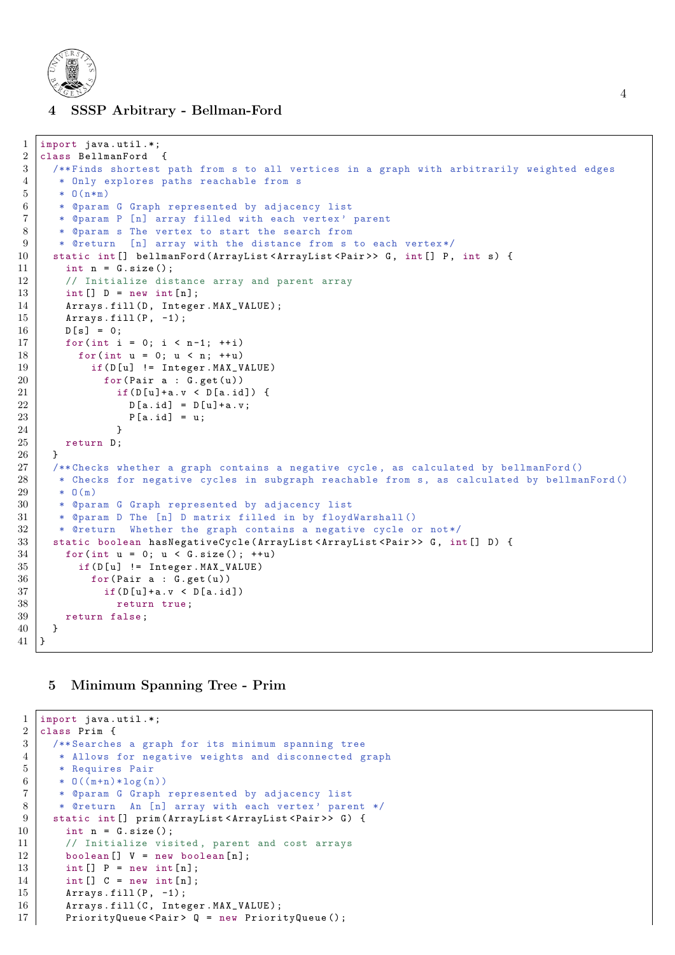

```
4 SSSP Arbitrary - Bellman-Ford
```

```
1 import java.util.*;
2 class BellmanFord {
3 /** Finds shortest path from s to all vertices in a graph with arbitrarily weighted edges
4 * Only explores paths reachable from s
5 * 0(n*m)6 * @param G Graph represented by adjacency list
7 | * @param P [n] array filled with each vertex' parent
8 * @param s The vertex to start the search from
9 | * @return [n] array with the distance from s to each vertex*/
10 | static int [] bellmanFord (ArrayList < ArrayList < Pair>> > G, int [] P, int s) {
11 int n = G. size():
12 // Initialize distance array and parent array
13 int [] D = new int[n];14 Arrays.fill (D, Integer.MAX_VALUE);
15 Arrays.fill (P, -1);
16 D [s] = 0;
17 for (int i = 0; i < n-1; ++i)
18 for (int u = 0; u \lt n; ++u)
19 if(D[u] != Integer.MAX_VALUE)20 for (Pair a : G.get (u))
21 \vert if (D[u]+a.v < D[a.id]) {
22 D [a.id] = D [u] + a.v;
\begin{array}{c|cc} 23 & & & \text{P[a.id]} = u; \\ 24 & & & \end{array}24 }
25 return D;
26 }
27 /** Checks whether a graph contains a negative cycle , as calculated by bellmanFord ()
28 * Checks for negative cycles in subgraph reachable from s, as calculated by bellmanFord ()
29 \t \ast 0(m)30 | * @param G Graph represented by adjacency list
31 * @param D The [n] D matrix filled in by floydWarshall ()<br>32 * @return Whether the graph contains a negative cycle o
      * @return Whether the graph contains a negative cycle or not*/
33 static boolean hasNegativeCycle (ArrayList <ArrayList <Pair>> > G, int [] D) {
34 for (int u = 0; u < G. size (); ++u)
35 if (D \lceil u \rceil != Integer. MAX VALUE)
36 for (Pair a : G. get (u))
37 \qquad \qquad if (D \lceil u \rceil + a \cdot v \le D \lceil a \cdot id \rceil)38 return true;
39 return false;
40 \mid \lambda41 | }
```
# <span id="page-3-0"></span>5 Minimum Spanning Tree - Prim

```
1 import java.util.*;
2 class Prim {
3 /** Searches a graph for its minimum spanning tree
4 * Allows for negative weights and disconnected graph
5 * Requires Pair
6 * 0((m+n)*log(n))
7 * @param G Graph represented by adjacency list
8 | * @return An [n] array with each vertex' parent */
9 | static int [] prim (ArrayList < ArrayList < Pair >> G) {
10 int n = G.size();
11 // Initialize visited, parent and cost arrays
12 boolean [] V = new boolean[n];13 int [] P = new int[n];14 int [] C = new int[n];15 Arrays . fill (P, -1);
16 | Arrays.fill (C, Integer.MAX_VALUE);
17 PriorityQueue < Pair > Q = new PriorityQueue ();
```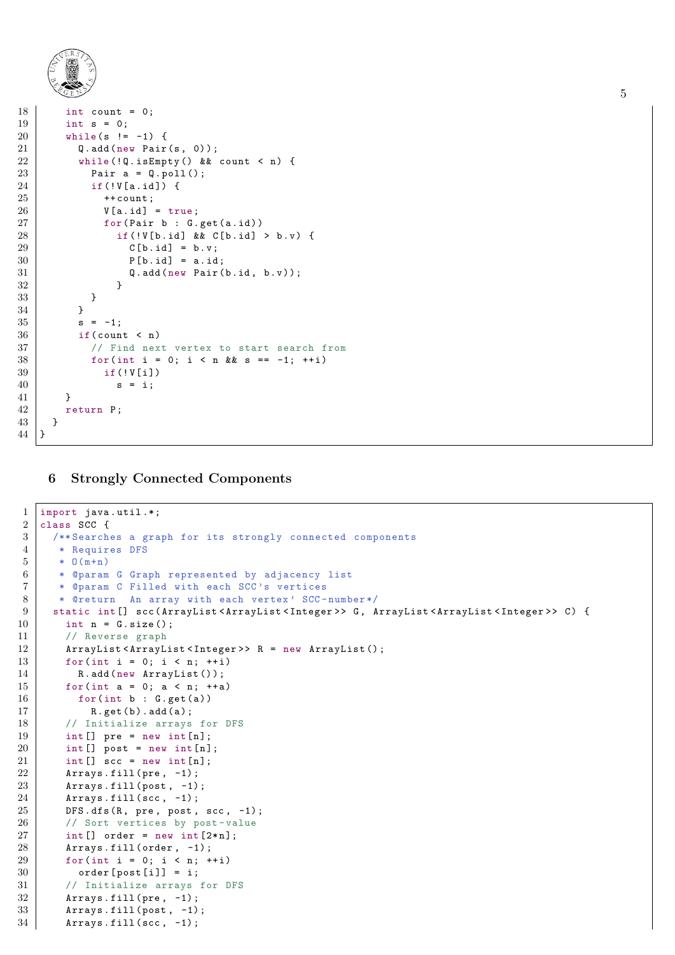```
18 int count = 0;
19 int s = 0;
20 while (s != -1) {
21 Q.add (new Pair (s, 0));
22 while (!Q.isEmpty () && count < n) {
23 Pair a = Q. poll ();<br>24 if (!V[a. id]) {
             if (!V[a.id]) {
25 ++ count;
26 \n\begin{array}{rcl} 26 \n\end{array} V [a.id] = true;<br>27 \n\begin{array}{rcl} 27 \n\end{array}for (Pair b : G.get(a.id))28 if (!V[b.id] && C[b.id] > b.v) {
29 | C [b.id] = b.v;30 | P [b.id] = a.id;
\begin{array}{c|c}\n 31 & \text{Q.add(new Pair(b.id, b.v));} \\
 \hline\n 32 & \text{P6} \\
 \end{array}32 }
\begin{array}{c|c}\n 33 & & \rightarrow \\
 34 & & \rightarrow\n \end{array}34 }
35 s = -1;
36 if (count < n)
37 / / Find next vertex to start search from
38 for(int i = 0; i < n && s == -1; ++i)
39 if (! V[i])
40 s = i;
41 }
42 return P;
43 }
44 | }
```
### <span id="page-4-0"></span>6 Strongly Connected Components

```
1 import java.util.*;
2 class SCC {
3 /**Searches a graph for its strongly connected components
4 * Requires DFS
5 \; * \; 0(m+n)6 | * @param G Graph represented by adjacency list
7 * @param C Filled with each SCC 's vertices
8 | * @return An array with each vertex' SCC-number*/
9 static int [] scc ( ArrayList < ArrayList < Integer > > G , ArrayList < ArrayList < Integer > > C ) {
10 \vert int n = G.size();
11 // Reverse graph
12 | ArrayList < ArrayList < Integer >> R = new ArrayList ();
13 for (int i = 0; i < n; ++i)
14 R. add (new ArrayList ());
15 for (int a = 0; a < n; ++a)
16 for (int b : G.get (a))
17 | R.get(b).add(a);18 // Initialize arrays for DFS
19 int [] pre = new int [n];
20 | int [] post = new int [n];
21 int [] scc = new int [n];
22 | Arrays.fill (pre, -1);
23 \vert Arrays.fill (post, -1);
24 \vert Arrays . fill (scc, -1);
25 DFS.dfs (R, pre, post, scc, -1);
26 // Sort vertices by post-value
27 int [] order = new int [2*n];
28 \vert Arrays.fill (order, -1);
29 | for (int i = 0; i < n; ++i)
30 order [post [i]] = i;
31 // Initialize arrays for DFS
32 \vert Arrays . fill (pre, -1);
33 Arrays.fill (post, -1);
34 Arrays . fill (scc, -1);
```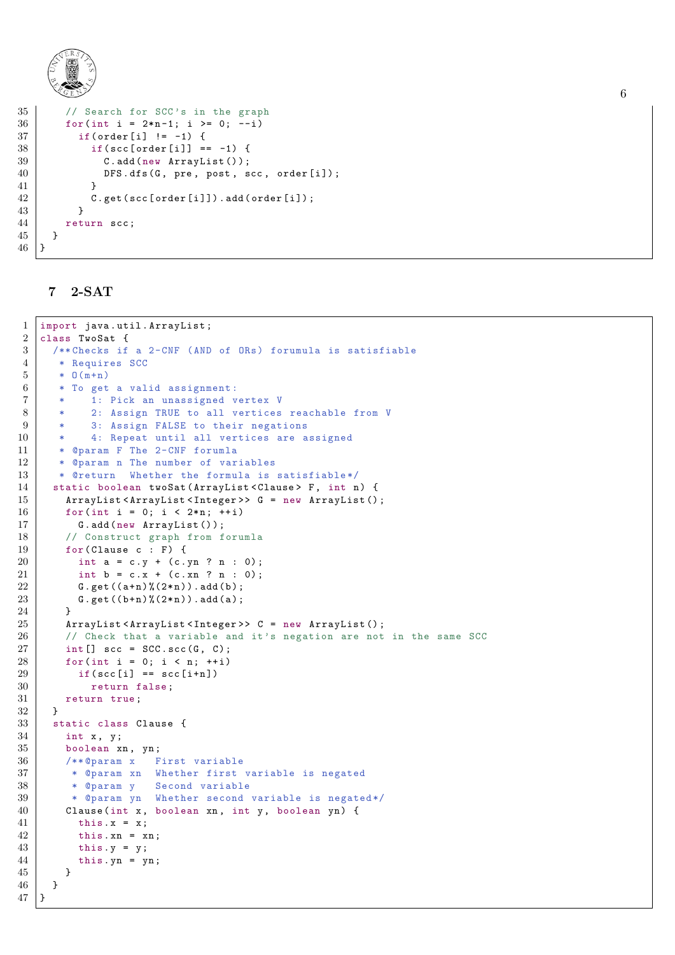```
35 // Search for SCC's in the graph
36 for (int i = 2*n-1; i >= 0; --i)
37 | if( order [i] != -1) {
38 | if(scc[order[i]] == -1) {
39 C.add (new ArrayList ());
\begin{array}{c|c} 40 & \text{DFS.dfs (G, pre, post, sec, order [i])}; \\ 41 & \text{ } \end{array}41 }
42 \vert C.get (scc [order [i]]).add (order [i]);
43 }
44 return scc ;
45 }
46 }
```
# <span id="page-5-0"></span>7 2-SAT

```
1 import java . util . ArrayList ;
2 | class TwoSat {
3 /** Checks if a 2 -CNF (AND of ORs ) forumula is satisfiable
4 * Requires SCC
5 \; * \; 0(m+n)6 * To get a valid assignment:
7 * 1: Pick an unassigned vertex V
8 * 2: Assign TRUE to all vertices reachable from V
9 | * 3: Assign FALSE to their negations
10 | * 4: Repeat until all vertices are assigned
11 | * @param F The 2-CNF forumla
12 | * @param n The number of variables
13 * @return Whether the formula is satisfiable*/
14 | static boolean twoSat (ArrayList < Clause > F, int n) {
15 | ArrayList < ArrayList < Integer >> G = new ArrayList ();
16 for (int i = 0; i < 2*n; ++i)
17 G.add (new ArrayList ());
18 // Construct graph from forumla
19 for (Clause c : F) {
20 int a = c \cdot y + (c \cdot yn ? n : 0);21 int b = c \cdot x + (c \cdot xn ? n : 0);22 G. get ((a+n) \% (2*n)). add (b);
23 G. get ((b+n) ((2*n)). add (a);
24 }
25 | ArrayList < ArrayList < Integer >> C = new ArrayList ();
26 // Check that a variable and it's negation are not in the same SCC
27 int [] scc = SCC. scc (G, C);
28 for (int i = 0; i < n; ++i)
29 if(scc[i] == scc[i+n])
30 return false;
31 return true;
32 \mid \rightarrow33 static class Clause {
34 int x, y;
35 boolean xn, yn;
36 /** @param x First variable
37 * @param xn Whether first variable is negated
38 | * @param y Second variable
39 | * @param yn Whether second variable is negated*/
40 | Clause (int x, boolean xn, int y, boolean yn) {
41 this x = x;
42 this . xn = xn;
43 this y = y;
44 this . yn = yn;
45 }
46 }
47 }
```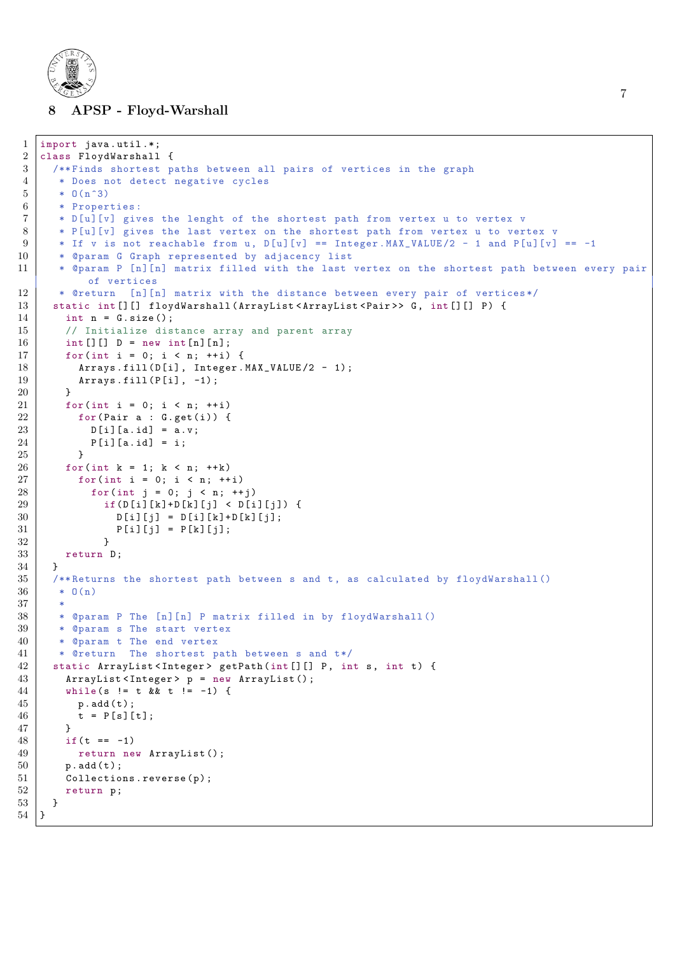

#### 8 APSP - Floyd-Warshall

```
1 import java.util.*;
2 class FloydWarshall {
3 /** Finds shortest paths between all pairs of vertices in the graph
 4 * Does not detect negative cycles
 5 \; * \; 0(n^3)6 * Properties :
7 * D[u][v] gives the lenght of the shortest path from vertex u to vertex v
 8 | * P[u][v] gives the last vertex on the shortest path from vertex u to vertex v
9 * If v is not reachable from u, D[u][v] == Integer. MAX_VALUE/2 - 1 and P[u][v] == -1
10 * @param G Graph represented by adjacency list<br>11 * @param P [n][n] matrix filled with the last
       * @param P [n][n] matrix filled with the last vertex on the shortest path between every pair
            of vertices
12 * @return [n][n] matrix with the distance between every pair of vertices*/
13 static int [][] floydWarshall (ArrayList < ArrayList < Pair >> G, int [][] P) {
14 int n = G.size();
15 // Initialize distance array and parent array
16 int [][] D = new int[n][n];17 for (int i = 0; i < n; ++i) {
18 \vert Arrays . fill (D[i], Integer . MAX_VALUE /2 - 1);
19 \begin{array}{c} \text{Arrays } . \text{fill} (\text{P[i]}, -1); \\ 20 \end{array}20 }
21 for (int i = 0; i < n; ++i)
\begin{array}{c|c}\n 22 & \text{for (Pair a : G.get(i)) } & \text{if } \\
 23 & \text{if } \text{I} \text{ and } \text{I} = \text{a. v}: & \n \end{array}D [i] [a id] = [a, v]24 P[i][a.id] = i;
25 }
26 for (int k = 1; k < n; ++k)
27 for (int i = 0; i < n; ++i)
28 for(int j = 0; j < n; ++j)
29 \left| \right| if ( D [ i ] [ k ] + D [ k ] [ j ] < D [ i ] [ j ]) {
30 \begin{bmatrix} D[i][j] = D[i][k]+D[k][j]; \\ 31 \end{bmatrix}<br>P[i][i] = P[k][i];P[i][j] = P[k][j];32 }
33 return D;
34 }
35 /**Returns the shortest path between s and t, as calculated by floydWarshall ()
36 \t * 0(n)37 *
38 * @param P The [n][n] P matrix filled in by floydWarshall ()
39 * @param s The start vertex
40 * @param t The end vertex
41 \vert * @return The shortest path between s and t*/42 static ArrayList < Integer > getPath(int[][] P, int s, int t) {
43 ArrayList < Integer > p = new ArrayList ();
44 while (s != t & & t != -1) {
45 p. add (t);
46 \t t = P[s][t];<br>
47 \t47 }
48 if (t == -1)
49 return new ArrayList();
50 p. add (t);
51 Collections . reverse (p);
52 return p;
53 \mid \}54 }
```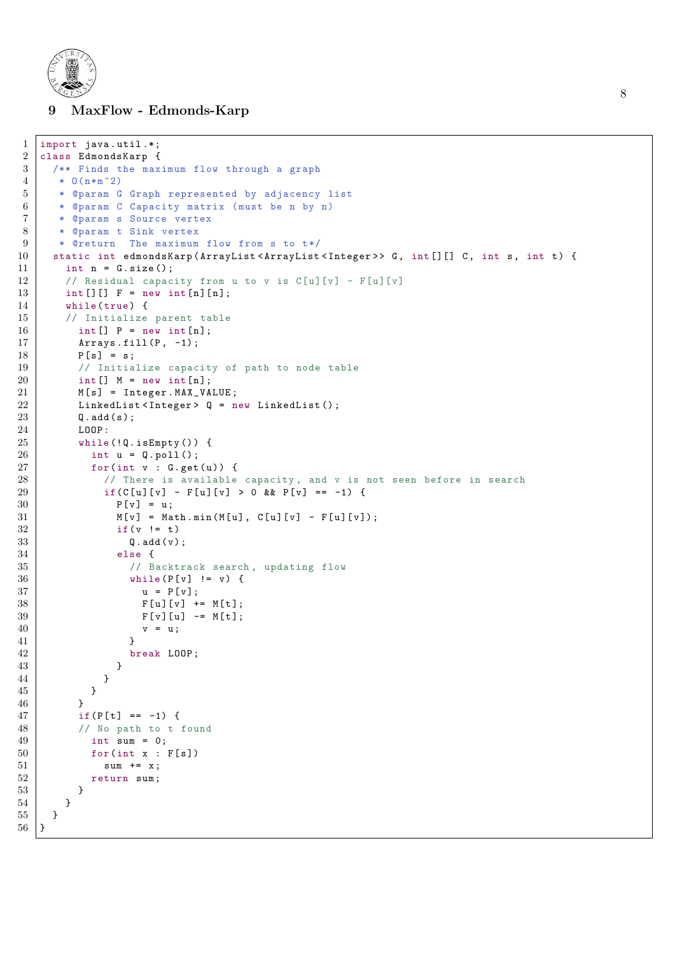

<span id="page-7-0"></span>9 MaxFlow - Edmonds-Karp

```
1 import java.util.*;
\begin{array}{c|c}\n2 & \text{class} & \text{EdmondsKarp} \\
3 & \text{***} & \text{Finds} & \text{the max}\n\end{array}/** Finds the maximum flow through a graph
4 \mid * 0(n*m^2)5 * @param G Graph represented by adjacency list
6 * @param C Capacity matrix (must be n by n)
7 * @param s Source vertex
8 | * @param t Sink vertex
9 | * @return The maximum flow from s to t*/
10 static int edmondsKarp (ArrayList <ArrayList <Integer >> G, int [] [] C, int s, int t) {<br>
int n = G.size():
      int n = G.size():
12 // Residual capacity from u to v is C[u][v] - F[u][v]13 int [][] F = new int[n][n];14 while (true) {
15 // Initialize parent table
16 int [] P = new int[n];17 Arrays . fill (P, -1);
18 P [s] = s;
19 // Initialize capacity of path to node table
20 | int [] M = new int [n];21 | M[s] = Integer.MAX_VALUE;22 | LinkedList < Integer > Q = new LinkedList ();
23 Q. add (s);
24 LOOP:
25 while (!Q.is Empty ()) {
26 int u = Q. poll();
27 for(int v : G.get(u)) {
28 // There is available capacity, and v is not seen before in search
29 | if( C [ u ][ v ] - F [ u ][ v ] > 0 & & P [ v ] = = -1) {
30 | P[v] = u;31 M[v] = Math.min(M[u], C[u][v] - F[u][v]);<br>32 if (v := t)if(y != t)33 \qquad \qquad 0. \text{add}(\text{v}):34 else {
35 / 35 // Backtrack search, updating flow
36 while (P[v] != v) {
37 | u = P[v];38 | F[u][v] += M[t];
39 | F[v][u] -= M[t];
\begin{array}{c|c}\n 40 & v = u; \\
 41 & \end{array}41 }
42 break LOOP ;
43 }
44 }
45 }
46 }
47 | if(P[t] == -1) {
48 // No path to t found
49 int sum = 0;
50 for(int x : F[s])51 sum += x;52 return sum;
53 }
54 }
55 }
56 }
```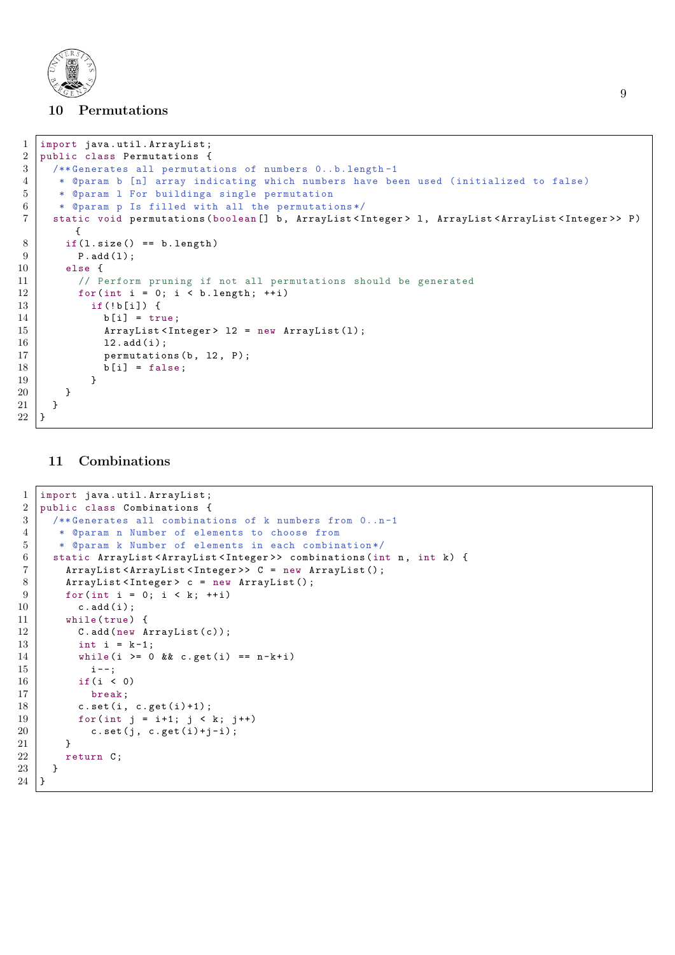

# <span id="page-8-0"></span>10 Permutations

```
1 import java.util. ArrayList;
2 public class Permutations {<br>3 /**Generates all permutat
      /** Generates all permutations of numbers 0..b.length-1
4 * @param b [n] array indicating which numbers have been used (initialized to false)
5 * @param 1 For buildinga single permutation
6 * @param p Is filled with all the permutations*/
7 static void permutations ( boolean [] b , ArrayList < Integer > l , ArrayList < ArrayList < Integer > > P )
         {
8 if (1.size() == b.length)\begin{array}{c|c} 9 & \text{P.add (1)}; \\ \hline 10 & \text{else} \end{array}else {
11 // Perform pruning if not all permutations should be generated
12 for (int i = 0; i < b.length; ++i)
13 if (!b[i]) {
14 b [i] = true;
15 | ArrayList < Integer > 12 = new ArrayList (1);
16 12. add (i);
17 permutations (b, 12, P);
\begin{array}{c|c}\n 18 \\
 19\n \end{array} b [i] = false;
19 }
20 }
21 }
22 \mid }
```
### <span id="page-8-1"></span>11 Combinations

```
1 import java . util . ArrayList ;
2 public class Combinations {\left( \begin{array}{cc} 3 & \text{with } 2 \end{array} \right)/** Generates all combinations of k numbers from 0..n-1
 4 | * @param n Number of elements to choose from
5 * @param k Number of elements in each combination */
 6 static ArrayList<ArrayList<Integer>> combinations(int n, int k) {
7 | ArrayList < ArrayList < Integer >> C = new ArrayList ();
8 ArrayList < Integer > c = new ArrayList ();
9 \mid for (int i = 0; i < k; ++i)
10 c.add(i);
11 while (true) {
12 C. add (new ArrayList (c));
13 int i = k-1;
14 while (i >= 0 && c.get (i) == n-k+i)
15 i --;
16 if (i < 0)
17 break;
18 c.set (i, c.get (i) +1);
19 for (int j = i+1; j \lt k; j++)20 \vert c.set(j, c.get(i)+j-i);
\begin{array}{c|c} 21 & & \rightarrow \\ \hline 22 & & \rightarrow \end{array}return C;
\begin{array}{c|c} 23 & \\ 24 & \\ \end{array}24 }
```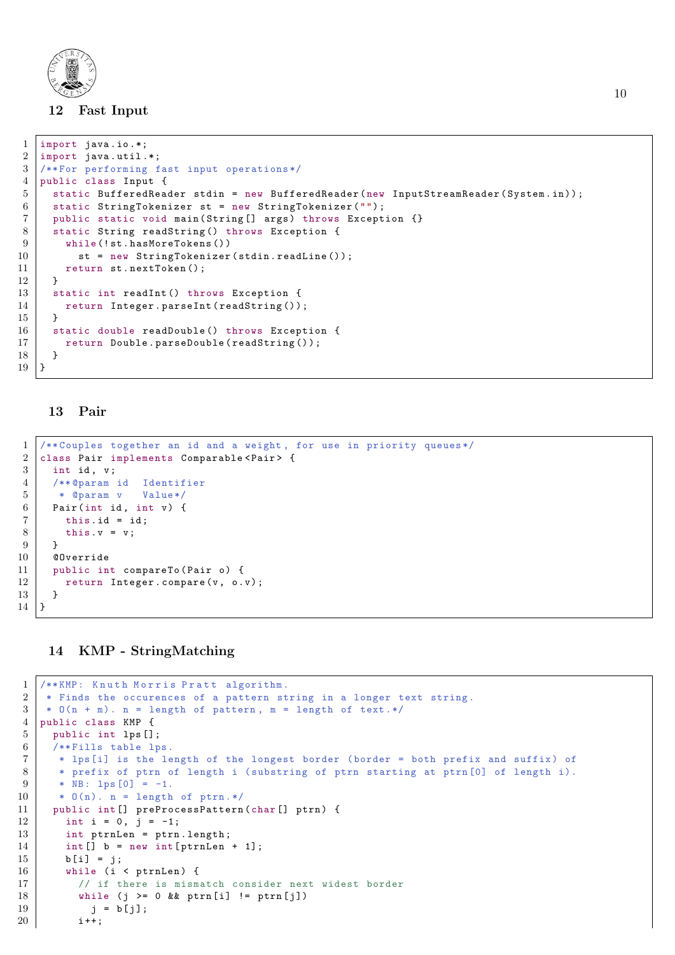

### <span id="page-9-0"></span>12 Fast Input

```
1 import java.io.*;
2 import java.util.*;
3 /** For performing fast input operations */
4 public class Input {
5 static BufferedReader stdin = new BufferedReader (new InputStreamReader (System.in));
6 static StringTokenizer st = new StringTokenizer ("");
7 public static void main ( String [] args ) throws Exception {}
8 static String readString () throws Exception {
9 while (!st.hasMoreTokens ())
10 st = new StringTokenizer (stdin. readLine ());
11 return st.nextToken();
12 }
13 | static int readInt () throws Exception {
14 return Integer.parseInt (readString ());
15 }
16 static double readDouble () throws Exception {
17 | return Double.parseDouble (readString ());
\begin{array}{c|c} 18 & 3 \\ 19 & 3 \end{array}19 }
```
#### <span id="page-9-1"></span>13 Pair

```
1 /** Couples together an id and a weight , for use in priority queues */
2 class Pair implements Comparable < Pair> {
3 int id, v;
4 /** @param id Identifier
5 * @param v Value */
6 Pair (int id, int v) {
7 this. id = id;
8 this v = v;
9 \mid \lambda10 @Override
11 public int compareTo (Pair o) {
12 return Integer.compare (v, o.v);
13 }
14 }
```
# <span id="page-9-2"></span>14 KMP - StringMatching

```
1 /** KMP: Knuth Morris Pratt algorithm.
2 * Finds the occurences of a pattern string in a longer text string.
3 \mid * 0(n + m). n = length of pattern, m = length of text.*/4 public class KMP {
5 public int lps [];
6 /** Fills table lps.
7 * lps[i] is the length of the longest border ( border = both prefix and suffix ) of
8 * prefix of ptrn of length i (substring of ptrn starting at ptrn [0] of length i).
9 * NB: lps [0] = -1.
10 | * 0(n). n = length of ptrn.*/
11 | public int [] preProcessPattern (char [] ptrn) {
12 int i = 0, j = -1;
13 int ptrnLen = ptrn.length;
14 int [] b = new int [ptrnLen + 1];
15 b [i] = j;
16 while (i < ptrnLen) {
17 | // if there is mismatch consider next widest border
18 | while (j \ge 0 \& \text{ptrn}[i] != \text{ptrn}[j])19 | j = b [ j];20 i ++;
```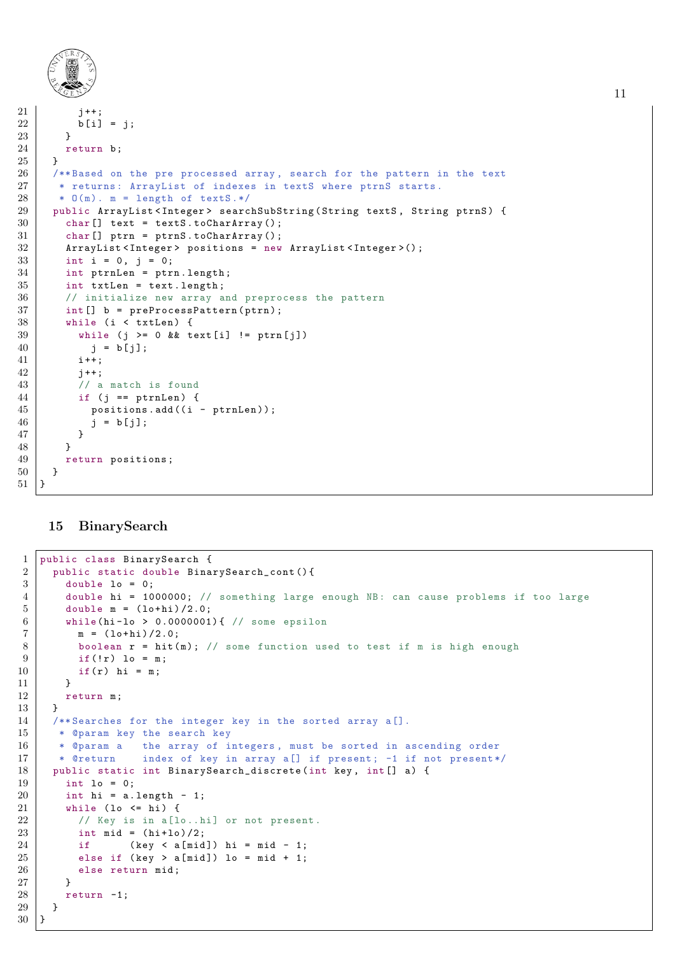```
21 i++22 b [i] = j;
23 }
24 return b;
\begin{array}{c|c} 25 & \rightarrow \\ 26 & \rightarrow \end{array}26 /**Based on the pre processed array, search for the pattern in the text 27 * returns: ArrayList of indexes in textS where ptrnS starts.
       * returns: ArrayList of indexes in textS where ptrnS starts.
28 * 0(m). m = length of textS.*/
29 public ArrayList<Integer> searchSubString (String textS, String ptrnS) {
30 char [] text = textS.toCharArray ();
31 char [] ptrn = ptrnS.toCharArray ();
32 ArrayList < Integer > positions = new ArrayList < Integer > ();
33 int i = 0, j = 0;
34 int ptrnLen = ptrn . length ;
35 int txtLen = text. length;
36 // initialize new array and preprocess the pattern
37 | int [] b = preProcessPattern (ptrn);
38 while (i < txtLen) {
39 while (j >= 0 && text[i] != ptrn[j])
40 j = b[j];41 i ++;
42 | j++;
43 // a match is found
44 if (j == ptrnLen) {
45 positions . add ((i - ptrnLen));
\begin{array}{c|cc} 46 & \text{j} = \text{b}[j]; \end{array}\begin{array}{c|c}\n 47 & \\
 48 & \n\end{array}48 }
49 return positions;
50 \mid \}51 \mid }
```
### <span id="page-10-0"></span>15 BinarySearch

```
1 public class BinarySearch {
2 public static double BinarySearch_cont(){
3 double lo = 0;
4 double hi = 1000000; // something large enough NB: can cause problems if too large
5 double m = (\text{lo+hi})/2.0;6 while (hi-lo > 0.0000001) { // some epsilon
7 m = (10+hi)/2.0;
8 boolean r = hit(m); // some function used to test if m is high enough
9 \mid if (!r) lo = m;
10 | if(r) hi = m;
11 }
12 return m;
13 }
14 /** Searches for the integer key in the sorted array a[].
15 | * @param key the search key
16 | * @param a the array of integers, must be sorted in ascending order
17 | * @return index of key in array a[] if present; -1 if not present */
18 public static int BinarySearch_discrete (int key, int [] a) {
19 int lo = 0;
20 int hi = a. length - 1;
21 while (lo <= hi) {
22 / / Key is in a[lo..hi] or not present.
23 int mid = (hi+10)/2;
24 if (key \langle a[mid]) hi = mid - 1;
25 else if (key > a[mid]) lo = mid + 1;
26 else return mid;
27 }
28 return -1;
29 }
30 \mid }
```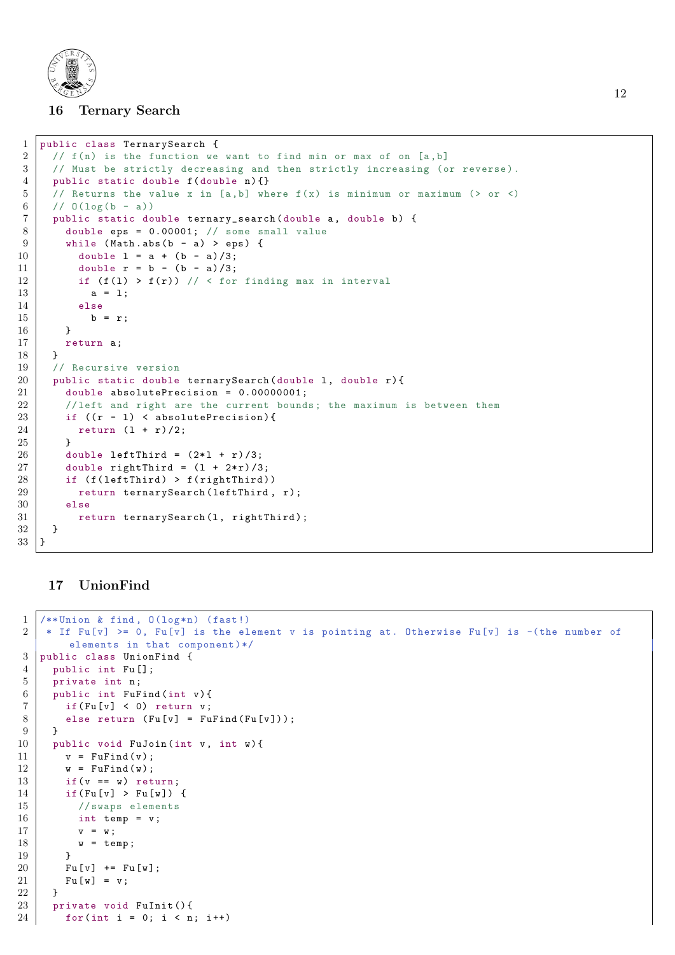

#### <span id="page-11-0"></span>16 Ternary Search

```
1 public class TernarySearch {
2 / f(n) is the function we want to find min or max of on [a, b]
3 // Must be strictly decreasing and then strictly increasing (or reverse).
4 public static double f (double n) {}
5 // Returns the value x in [a, b] where f(x) is minimum or maximum (> or <)
6 // 0(\log(b - a))7 public static double ternary_search (double a, double b) {
8 double eps = 0.00001; // some small value
9 \mid while (Math.abs (b - a) > eps) {
10 double 1 = a + (b - a)/3;
11 double r = b - (b - a)/3;
12 if (f(1) > f(r)) // < for finding max in interval
13 a = 1;
14 else
15 b = r;
16 }
17 return a;
18 }
19 // Recursive version
20 public static double ternarySearch (double 1, double r) {
21 double absolutePrecision = 0.00000001;
22 / // left and right are the current bounds; the maximum is between them
23 if ((r - 1) < absolutePrecision){
24 return (1 + r)/2;
25 }
26 double leftThird = (2*1 + r)/3;
27 double rightThird = (1 + 2*r)/3;
28 if (f(\text{leftThird}) > f(\text{rightThird}))29 return ternarySearch (leftThird, r);
30 else
31 return ternarySearch (1, rightThird);<br>32 }
32 }
33 \mid \}
```
### <span id="page-11-1"></span>17 UnionFind

```
1 \mid (** Union & find, 0(\text{log*}n) (fast!)
2 * If Fu[v] >= 0, Fu[v] is the element v is pointing at. Otherwise Fu[v] is -(the number of
       elements in that component) */
3 public class UnionFind {
4 public int Fu [];
5 private int n;
6 public int FuFind (int v) {
7 if(Fu[v] < 0) return v;
8 else return (Fu[v] = FuFind(Fu[v]));
9 }
10 public void FuJoin (int v, int w) {
11 v = \text{Fufind}(v);
12 \mid w = \text{Fufind}(w);13 if (v == w) return;
14 if (Fu[v] > Fu[v]) {
15 // swaps elements
16 int temp = v;
17 v = w;
18 w = temp;
19 }
20 | Fu [v] += Fu [w];
21 Fu [w] = v;
22 \mid 123 private void FuInit () {
24 for (int i = 0; i < n; i++)
```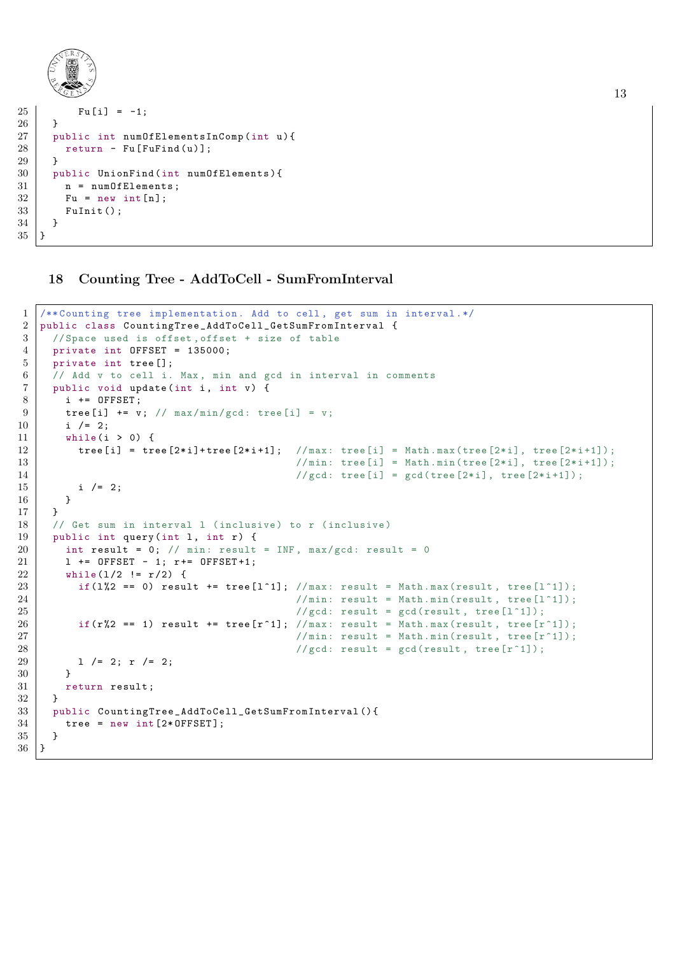```
25 Fu [i] = -1;
26 }
27 public int numOfElementsInComp (int u) {
28 return - Fu [FuFind (u)];
29 \mid 3\begin{cases} 30 \\ 31 \end{cases} public UnionFind (int numOfElements) {
        n = numOfElements;
32 Fu = new int [n];
33 FuInit ();
34 }
35 }
```
### <span id="page-12-0"></span>Counting Tree - AddToCell - SumFromInterval

```
1 /** Counting tree implementation . Add to cell , get sum in interval .*/
2 public class CountingTree_AddToCell_GetSumFromInterval {
3 / // Space used is offset, offset + size of table
4 private int OFFSET = 135000;
5 private int tree [];
6 // Add v to cell i. Max, min and gcd in interval in comments
7 public void update (int i, int v) {
8 i += OFFSET;
9 tree [i] += v; // max/min/gcd: tree [i] = v;
10 i /= 2;
11 while (i > 0) {
12 \vert tree [i] = tree [2*i]+tree [2*i+1]; //max: tree [i] = Math.max(tree [2*i], tree [2*i+1]);
13 \vert //min: tree [i] = Math.min(tree [2*i], tree [2*i+1]);
14 //gcd: tree [i] = gcd(tree [2*1], tree [2*1+1]);
15 i /= 2;
16 }
17 }
18 // Get sum in interval 1 (inclusive) to r (inclusive)
19 public int query (int 1, int r) {
20 int result = 0; // min: result = INF, max/gcd: result = 0
21 | 1 += OFFSET - 1; r += OFFSET +1;
22 while (1/2 \neq r/2) {
23 if(1%2 == 0) result += tree [1^1]; //max: result = Math.max(result, tree [1^1]);
24 | \sqrt{min: result = Math.min(result, tree[1^1]);25 // gcd: result = gcd( result, tree [1^1]);
26 if(r\frac{1}{2} == 1) result += tree [r^1]; //max: result = Math.max(result, tree [r^1]);
27 / / min: result = Math.min(result, tree [r^1]);
28 / \sqrt{gcd:} result = gcd(result, tree [r^1]);
29 | 1 /= 2; r /= 2;
30 }
31 return result;
32 }
33 public CountingTree_AddToCell_GetSumFromInterval () {
34 tree = new int [2*0FFSET];
35 }
36 | }
```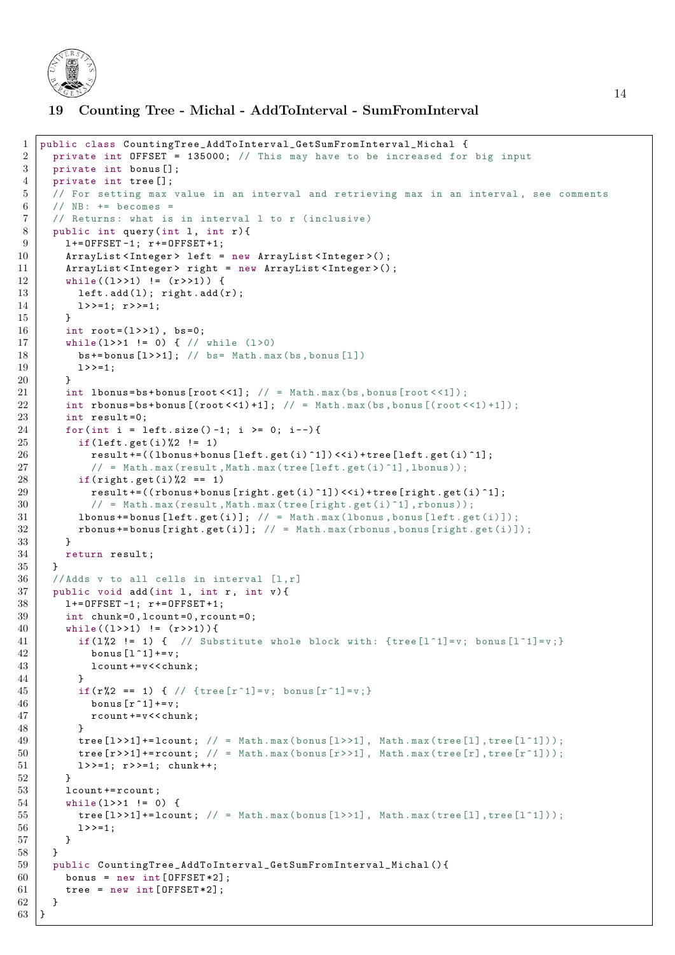

# <span id="page-13-0"></span>19 Counting Tree - Michal - AddToInterval - SumFromInterval

```
1 public class CountingTree_AddToInterval_GetSumFromInterval_Michal {
2 private int OFFSET = 135000; // This may have to be increased for big input
3 private int bonus [];
4 private int tree [];
5 // For setting max value in an interval and retrieving max in an interval , see comments
6 // NB: += becomes =
7 // Returns: what is in interval 1 to r (inclusive)
8 | public int query (int 1, int r) {
9 \mid 1+ = 0FFSET-1; r+ = 0FFSET+1;
10 ArrayList < Integer > left = new ArrayList < Integer > ();
11 ArrayList < Integer > right = new ArrayList < Integer > ();
12 while ((1 \rightarrow 1) != (r \rightarrow 1)) {
13 left.add(1); right.add(r);
14 1>>=1; r>>=1;
15 }
16 int root=(1>>1), bs=0;
17 | while (1>>1 != 0) { // while (1>>0)18 \vert bs += bonus [1 > 1]; // bs = Math. max (bs, bonus [1])
19 \mid 1 \rangle = 1;
20 \mid 321 int 1bonus=bs+bonus [\text{root} < 1]; // = Math.max (bs, bonus [\text{root} < 1]);
22 int rbonus=bs+bonus [(root < 1) +1]; // = Math.max(bs, bonus [(root < 1) +1]);
23 int result=0:
24 for (int i = left.size ()-1; i >= 0; i--) {
25 if (left.get (i) %2 != 1)
26 result +=((1\text{bonus} + \text{bonus} [left.get(i)^{-1}]) \leq i + \text{tree} [left.get(i)^{-1}];27 \vert // = Math.max(result, Math.max(tree [left.get(i)^1], lbonus));
28 if (right.get(i)\text{)}2 = 129 \vert result +=((rbonus + bonus [right.get(i)^1]) <<i) + tree [right.get(i)^1];
30 // = Math.max(result, Math.max(tree [right.get(i)^1], rbonus));
31 lbonus += bonus [left . get (i)]; // = Math . max (1bonus, bonus [left . get(i)]);<br>32 rbonus += bonus [right . get(i)]: // = Math . max (rbonus . bonus [right . get(i)]
          \texttt{rbonus} += \texttt{bonus} [\text{right.get}(i)]; // = Math.max(rbonus, bonus [\text{right.get}(i)]);
33 }
34 return result;
35 \mid \}36 // Adds v to all cells in interval [1,r]37 public void add (int 1, int r, int v) {
38 | 1+= OFFSET -1; r += OFFSET +1;
39 int chunk=0, lcount=0, rcount=0;
40 while ((1 \rightarrow 1) != (r \rightarrow 1)) {
41 if (1%2 != 1) { // Substitute whole block with: {tree [1^1]=v; bonus [1^1]=v;}
42 bonus [1^{\circ}1]+=v;
43 lcount += v < < chunk :
44 }
45 if(r%2 == 1) { // {tree \lceil r \rceil 1 \rceil = v; bonus \lceil r \rceil 1 \rceil = v; }
46 bonus [r^1]+=v;
47 | rcount += v < < chunk;
48 }
49 tree [1 > > 1]+=1count; // = Math.max(bonus [1 > > 1], Math.max(tree [1], tree [1 \text{1}));
50 \vert tree [r > > 1] += rcount; // = Math.max(bonus [r > > 1], Math.max(tree [r], tree [r^1]);
51 | 1>>=1; r>>=1; chunk ++;
52 }
53 lcount += rcount;
54 while (1 > > 1 != 0) {
55 tree [1 > > 1]+=1count; // = Math.max(bonus [1 > > 1], Math.max(tree [1], tree [1 \text{1}));
56 1 \rightarrow -1;
57 }
58 }
59 public CountingTree_AddToInterval_GetSumFromInterval_Michal () {
60 bonus = new int [OFFSET * 2];
61 \vert tree = new int [OFFSET * 2];
62 \mid \lambda63 }
```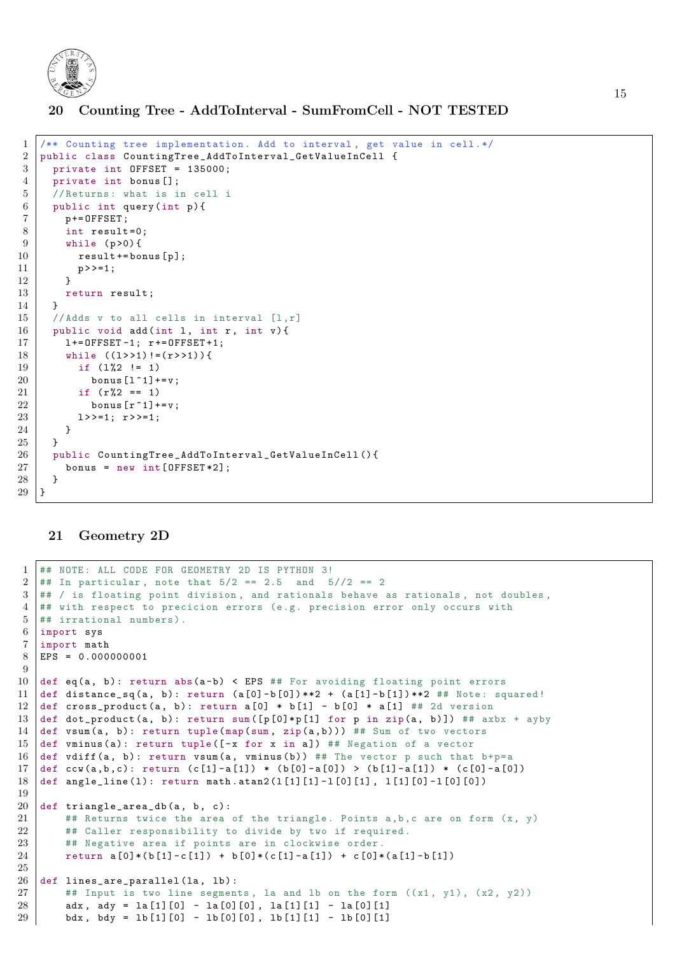

<span id="page-14-0"></span>20 Counting Tree - AddToInterval - SumFromCell - NOT TESTED

```
1 /** Counting tree implementation . Add to interval , get value in cell .*/
2 public class CountingTree_AddToInterval_GetValueInCell {
3 private int OFFSET = 135000;
4 private int bonus [];
5 // Returns: what is in cell i
6 public int query (int p) {
7 p += OFFSET;
8 int result=0;
9 \mid while (p > 0) {
10 result += bonus [p];
\begin{array}{c|c} 11 & & \text{p} \rightarrow \text{--}1; \\ 12 & & \text{b} \end{array}12 }
13 return result;
14 }
15 // Adds v to all cells in interval [1,r]16 public void add (int 1, int r, int v) {
17 | 1+= OFFSET -1; r += OFFSET +1;
18 | while ((1 \rightarrow 1) != (r \rightarrow 1)) {
19 if (1\frac{8}{2} != 1)
20 bonus [1 \t1] += v;
21 if (r\%2 == 1)22 bonus [r^1]+=v;
23 \vert 1>>=1; r>>=1;
24 }
25 }
26 public CountingTree_AddToInterval_GetValueInCell () {
27 bonus = new int [OFFSET * 2]:
28 }
29 }
```
#### <span id="page-14-1"></span>21 Geometry 2D

```
1 ## NOTE: ALL CODE FOR GEOMETRY 2D IS PYTHON 3!
2 \mid # In particular, note that 5/2 == 2.5 and 5/2 == 23 \mid #\# / is floating point division, and rationals behave as rationals, not doubles,
4 ## with respect to precicion errors (e.g. precision error only occurs with
5 \# irrational numbers).
6 import sys
7 import math
8 EPS = 0.000000001
9
10 def eq(a, b): return abs(a-b) < EPS ## For avoiding floating point errors
11 def distance_sq(a, b): return (a[0]-b[0])**2 + (a[1]-b[1])**2 ## Note: squared!
12 def cross_product(a, b): return a [0] * b [1] - b [0] * a [1] ## 2d version
13 def dot_product(a, b): return sum ([p[0]*p[1] for p in zip(a, b)]) ## axbx + ayby
14 def vsum (a, b): return tuple (map (sum, zip(a, b))) ## Sum of two vectors
15 def vminus (a): return tuple ([-x for x in a]) ## Negation of a vector
16 def vdiff (a, b): return vsum (a, y) winus (b) ) ## The vector p such that b+p=a
17 def ccw(a,b,c): return (c[1]-a[1]) * (b[0]-a[0]) > (b[1]-a[1]) * (c[0]-a[0])
18 def angle_line (1): return math.atan2 (1[1][1] -1[0][1], 1[1][0] -1[0][0])
19
20 def triangle_area_db(a, b, c):
21 # Returns twice the area of the triangle. Points a, b, c are on form (x, y)22 | ## Caller responsibility to divide by two if required.
23 | ## Negative area if points are in clockwise order.
24 return a [0] * (b [1] - c [1]) + b [0] * (c [1] - a [1]) + c [0] * (a [1] - b [1])25
26 def lines_are_parallel(1a, 1b):
27 \vert ## Input is two line segments, la and lb on the form ((x1, y1), (x2, y2))28 | adx, ady = la [1][0] - la [0][0], la [1][1] - la [0][1]
29 bdx, bdy = lb [1][0] - lb [0][0], lb [1][1] - lb [0][1]
```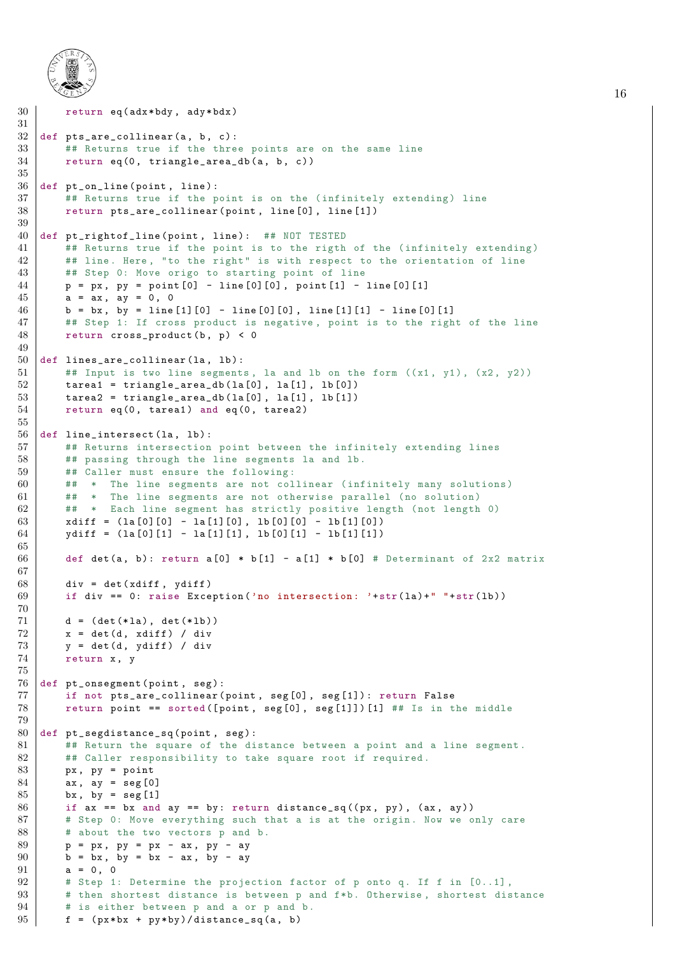

```
30 return eq (adx * bdy, ady * bdx)
31
32 def pts_are_collinear (a, b, c):
33 ## Returns true if the three points are on the same line
34 return eq(0, triangle_area_db(a, b, c))
35
36 def pt_on_line (point, line):
37 ## Returns true if the point is on the (infinitely extending) line
38 return pts_are_collinear (point, line [0], line [1])
39
40 def pt_rightof_line (point, line): ## NOT TESTED
41 | ## Returns true if the point is to the rigth of the (infinitely extending)
42 | ## line. Here, "to the right" is with respect to the orientation of line
43 | ## Step 0: Move origo to starting point of line
44 | p = px, py = point [0] - line [0][0], point [1] - line [0][1]
45 a = ax, ay = 0, 0
46 | b = bx, by = line [1][0] - line [0][0], line [1][1] - line [0][1]
47 | ## Step 1: If cross product is negative, point is to the right of the line
48 return cross_product (b, p) < 0
49
50 def lines_are_collinear (1a, 1b):
51 # # Input is two line segments, la and lb on the form ((x1, y1), (x2, y2))52 tarea1 = triangle_area_db(\text{la}[0], \text{la}[1], \text{lb}[0])
53 tarea2 = triangle_area_db(la[0], la[1], lb[1])
54 return eq(0, tarea1) and eq(0, tarea2)
55
56 def line_intersect(la, lb):
57 | ## Returns intersection point between the infinitely extending lines
58 | ## passing through the line segments la and lb.
59 ## Caller must ensure the following:
60 | ## * The line segments are not collinear (infinitely many solutions)
61 ## * The line segments are not otherwise parallel (no solution)
62 ## * Each line segment has strictly positive length (not length 0)
63 xdiff = (la[0][0] - la[1][0], lb[0][0] - lb[1][0])64 ydiff = (la[0][1] - la[1][1], lb[0][1] - lb[1][1])65
66 def det (a, b): return a [0] * b [1] - a [1] * b [0] # Determinant of 2x2 matrix
67
68 div = det (xdiff, ydiff)
69 if div == 0: raise Exception ('no intersection: '+str(la)+" "+str(lb))
70
71 d = (det (* la), det (* lb))
72 | x = det(d, xdiff) / div73 y = det(d, ydiff) / div74 return x, y
75
76 def pt_onsegment (point, seg):
77 if not pts_are_collinear (point, seg[0], seg[1]): return False
78 return point == sorted ([point, seg[0], seg[1]]) [1] ## Is in the middle
79
80 def pt-segdistance-sq (point, seg):
81 ## Return the square of the distance between a point and a line segment.
82 ## Caller responsibility to take square root if required.
83 | px, py = point
84 ax, ay = seg [0]
85 bx, by = seg [1]
86 if ax == bx and ay == by: return distance_sq((px, py), (ax, ay))
87 # Step 0: Move everything such that a is at the origin. Now we only care
88 # about the two vectors p and b.
89 p = px, py = px - ax, py - ay
90 b = bx, by = bx - ax, by - ay
91 a = 0, 0
92 # Step 1: Determine the projection factor of p onto q. If f in [0..1],
93 # then shortest distance is between p and f*b. Otherwise , shortest distance
94 # is either between p and a or p and b.
95 f = (px * bx + py * by) / distance_s q(a, b)
```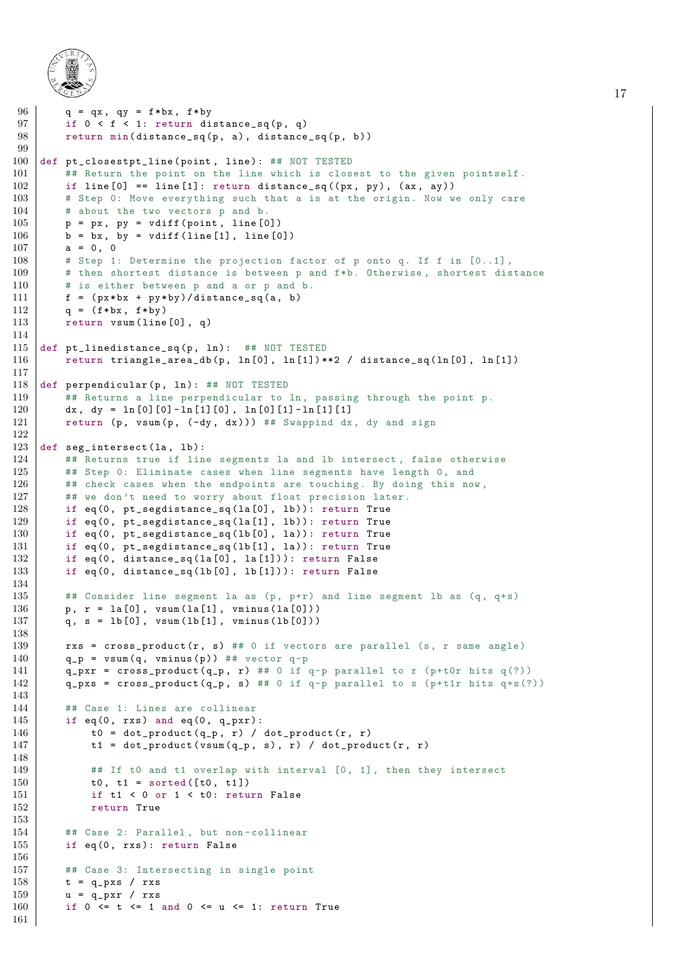

```
96 | q = qx, qy = f * bx, f * by97 if 0 < f < 1: return distance_sq(p, q)
98 return min(distance_sq(p, a), distance_sq(p, b))
99
100 def pt_closestpt_line (point, line): ## NOT TESTED
101 ## Return the point on the line which is closest to the given pointself.<br>102 if line [0] == line [1]: return distance sq((px, py), (ax, ay))
        if line [0] == line [1]: return distance_sq((px, py), (ax, ay))
103 | # Step 0: Move everything such that a is at the origin. Now we only care
104 # about the two vectors p and b.
105 | p = px, py = vdiff (point, line [0])
106 | b = bx, by = vdiff (line [1], line [0])
107 a = 0, 0
108 | # Step 1: Determine the projection factor of p onto q. If f in [0..1],
109 \parallel # then shortest distance is between p and f*b. Otherwise, shortest distance
110 # is either between p and a or p and b.
111 f = (px * bx + py * by) / distance_s q(a, b)112 \vert q = (f * bx, f * by)
113 return vsum (line [0], q)
114
115 def pt_linedistance_sq(p, ln): ## NOT TESTED
116 | return triangle_area_db(p, ln[0], ln[1])**2 / distance_sq(ln[0], ln[1])
117
118 def perpendicular (p, ln): ## NOT TESTED
119 | ## Returns a line perpendicular to ln, passing through the point p.
120 dx, dy = \ln [0] [0] - \ln [1] [0], \ln [0] [1] - \ln [1] [1]121 return (p, vsum (p, (-dy, dx))) ## Swappind dx, dy and sign
122
123 def seg_intersect(la, lb):
124 | ## Returns true if line segments la and 1b intersect, false otherwise
125 | ## Step 0: Eliminate cases when line segments have length 0, and
126 | ## check cases when the endpoints are touching. By doing this now,
127 | ## we don't need to worry about float precision later.
128 if eq(0, pt_segdistance_sq(la[0], lb)): return True
129 if eq(0, pt_segdistance_sq(la[1], lb)): return True
130 if eq(0, pt_segdistance_sq(1b[0], la)): return True
131 if eq(0, pt_segdistance_sq(1b[1], la)): return True
132 | if eq(0, distance_sq(la[0], la[1])): return False
133 if eq(0, distance_sq(1b[0], lb[1])): return False
134
135 \vert ## Consider line segment la as (p, p+r) and line segment lb as (q, q+s)136 | p, r = la[0], vsum( la[1], vminus( la[0] ) )137 q, s = 1b[0], vsum(1b[1], vminus(1b[0]))
138
139 \vert rxs = cross_product(r, s) ## 0 if vectors are parallel (s, r same angle)
140 | q_p = v \text{sum}(q, v \text{minus}(p)) ## vector q-p
141 | q_p x r = cross-product ( q_p, r ) # # 0 if q-p parallel to r (p+tor hits q(?) )142 | q_pxs = cross_product (q_p, s) ## 0 if q-p parallel to s (p+t1r hits q+s(?))
143
144 | ## Case 1: Lines are collinear
145 if eq(0, rxs) and eq(0, q_{-p}xr):
146 | t0 = dot_product (q_p, r) / dot_product (r, r)147 \vert t1 = dot_product (vsum(q_p, s), r) / dot_product (r, r)148
149 | ## If t0 and t1 overlap with interval [0, 1], then they intersect
150 t0, t1 = sorted ([t0, t1])
151 if t1 < 0 or 1 < t0: return False
152 return True
153
154 | ## Case 2: Parallel, but non-collinear
155 if eq(0, rxs): return False
156
157 ## Case 3: Intersecting in single point
158 t = q_pxs / rxs
159 u = q_{-p}x r / r x s160 if 0 \le t \le 1 and 0 \le u \le 1: return True
161
```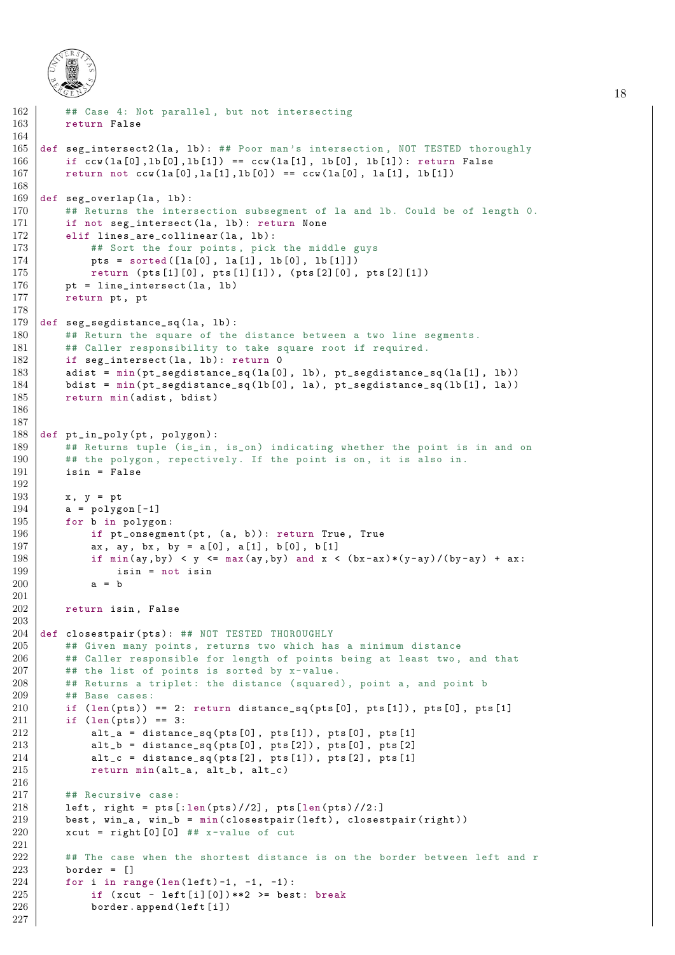

```
162 | ## Case 4: Not parallel, but not intersecting
163 return False
164
165 def seg_intersect2(la, 1b): ## Poor man's intersection, NOT TESTED thoroughly
166 if ccw(\text{la}[0], \text{lb}[0], \text{lb}[1]) == ccw(\text{la}[1], \text{lb}[0], \text{lb}[1]): return False
167 | return not ccw(\text{la}[0], \text{la}[1], \text{lb}[0]) == ccw(\text{la}[0], \text{la}[1], \text{lb}[1])168
169 def seg_overlap(la, lb):
170 | ## Returns the intersection subsegment of la and lb. Could be of length 0.
171 if not seg_intersect(la, lb): return None
172 elif lines_are_collinear (\ln, \ln):
173 | ## Sort the four points, pick the middle guys
174 | pts = sorted ([1a[0], 1a[1], 1b[0], 1b[1]])
175 | return (pts [1][0], pts [1][1]), (pts [2][0], pts [2][1])
176 pt = line_intersect (la, lb)
177 return pt, pt
178
179 def seg_segdistance_sq(la, lb):
180 | ## Return the square of the distance between a two line segments.
181 | ## Caller responsibility to take square root if required.
182 if seg_intersect(1a, 1b): return 0
183 | adist = min(pt\_segdistance\_sq( la[0], lb), pt\_segdistance\_sq( la[1], lb )184 bdist = min(pt\_segdistance\_sq(1b[0], la), pt\_segdistance\_sq(1b[1], la)185 return min(adist, bdist)
186
187
188 def pt_in_poly ( pt , polygon ) :
        ## Returns tuple (is_in, is_on) indicating whether the point is in and on
190 | ## the polygon, repectively. If the point is on, it is also in.
191 isin = False
192
193 x, y = pt
194 \vert a = polygon [-1]195 for b in polygon:
196 if pt_onsegment (pt, (a, b)): return True, True
197 | ax, ay, bx, by = a[0], a[1], b[0], b[1]
198 if min(ay, by) < y \le max(ay, by) and x < (bx-ax)*(y-ay)/(by-ay) + ax:
199 isin = not isin
200 a = b
201
202 return isin, False
203
204 def closestpair (pts): ## NOT TESTED THOROUGHLY
205 ## Given many points , returns two which has a minimum distance
206 | ## Caller responsible for length of points being at least two, and that
207 | ## the list of points is sorted by x-value.
208 | ## Returns a triplet: the distance (squared), point a, and point b
209 ## Base cases :
210 if (len(\text{pts})) == 2: return distance_sq(\text{pts}[0], pts[1]), pts[0], pts[1]211 if (len (pts)) == 3:212 \vert alt_a = distance_sq(pts[0], pts[1]), pts[0], pts[1]
213 \vert alt_b = distance_sq(pts[0], pts[2]), pts[0], pts[2]
214 alt_c = distance_sq(pts[2], pts[1]), pts[2], pts[1]
215 | return min(alt_a, alt_b, alt_c)
216
217 ## Recursive case:
218 left, right = pts[:len(pts) // 2], pts[len(pts) // 2:]219 best, win_a, win_b = min(closestpair(left), closestpair(right))
220 \vert xcut = right [0] [0] ## x-value of cut
221
222 | ## The case when the shortest distance is on the border between left and r
223 border = \lceil]
224 for i in range (len (left) -1, -1, -1):
225 if (xcut - left[i][0])**2 >= best: break
226 border . append (\text{left}[i])227
```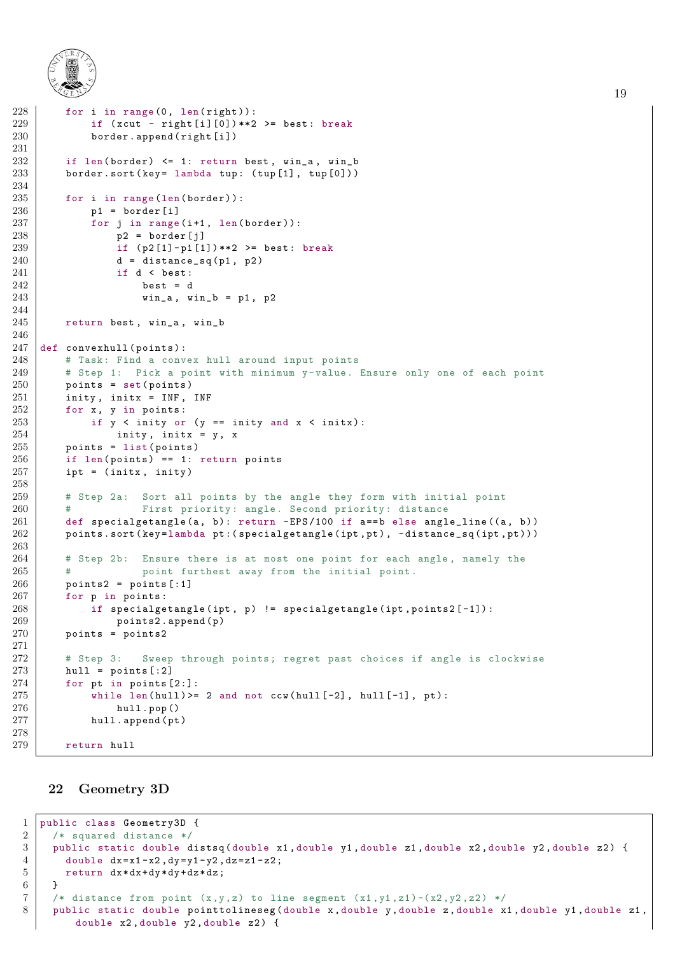

```
228 for i in range (0, len(right)):
229 if (xcut - right[i][0])**2 >= best: break
230 border . append (right [i])
231
232 if len(border) \leq 1: return best, win_a, win_b
233 border . sort (key = lambda tup: (tup[1], tup[0])))
234
235 for i in range (len (border)):
236 | p1 = border [i]
237 for j in range (i+1, len (border)):
238 | p2 = border[i]239 if (p2[1]-p1[1])**2 \ge 0 best: break
240 d = distance_sq(p1, p2)
\begin{array}{c|c}\n 241 \\
 242\n \end{array} if d < best:<br>best = d
                   best = d243 win_a, win_b = p1, p2
244
245 return best, win_a, win_b
246
247 def convexhull (points):
248 | # Task: Find a convex hull around input points
249 | # Step 1: Pick a point with minimum y-value. Ensure only one of each point
250 points = set(points)
251 inity, initx = INF, INF
252 for x, y in points:
253 if y < inity or (y == inity and x < initx):
\begin{array}{c|c} 254 & \text{inity, inity} = y, x \\ \hline 255 & \text{points} = \text{list(points)} \end{array}points = list (points)
256 if len(points) == 1: return points
257 ipt = (initx, inity)
258
259 | # Step 2a: Sort all points by the angle they form with initial point
260 | # First priority: angle. Second priority: distance
261 def specialgetangle (a, b): return - EPS/100 if a==b else angle_line ((a, b))262 points . sort (key=lambda pt: (specialgetangle (ipt, pt), -distance_sq (ipt, pt)))
263
264 | # Step 2b: Ensure there is at most one point for each angle, namely the
265 | # point furthest away from the initial point.
266 points2 = points [:1]
267 for p in points:
268 if specialgetangle (ipt, p) != specialgetangle (ipt, points2[-1]):
269 points2.append (p)
270 points = points2
271
272 | # Step 3: Sweep through points; regret past choices if angle is clockwise
273 hull = points [:2]274 for pt in points [2:]:
275 while len(hull) >= 2 and not ccw(hull[-2], hull[-1], pt):
276 hull.pop()
277 hull . append (pt)
278
279 return hull
```
#### <span id="page-18-0"></span>22 Geometry 3D

```
1 public class Geometry3D {
2 /* squared distance */
3 public static double distsq (double x1, double y1, double z1, double x2, double y2, double z2) {
4 double dx = x1-x2, dy = y1-y2, dz = z1-z2;
5 return dx * dx + dy * dy + dz * dz;
6 }
7 /* distance from point (x,y,z) to line segment (x1,y1,z1)-(x2,y2,z2) */
8 public static double pointtolineseg (double x, double y, double z, double x1, double y1, double z1,
        double x2, double y2, double z2) {
```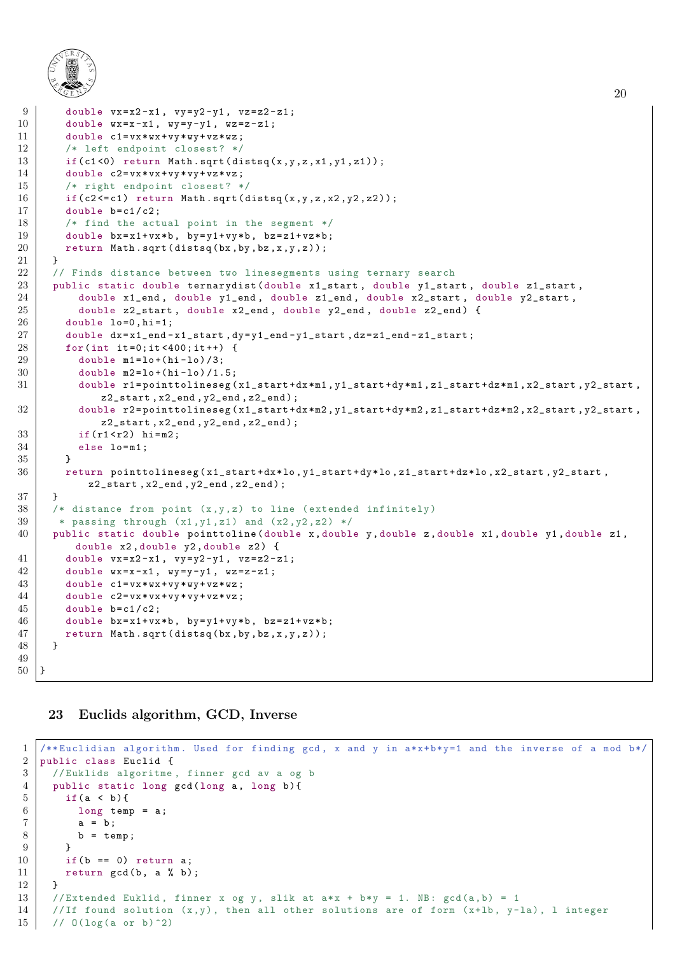

```
9 double vx=x2-x1, vy=y2-y1, vz=z2-z1;
10 double wx = x - x1, wy = y - y1, wz = z - z1;
11 double c1 = v x * w x + v y * w y + v z * w z;
12 | /* left endpoint closest? */
13 if (c1 < 0) return Math . sqrt (distsq(x, y, z, x1, y1, z1));
14 double c2 = v x * v x + v y * v y + v z * v z;
15 /* right endpoint closest? */
16 if (c2 \leq c1) return Math.sqrt (distsq (x, y, z, x2, y2, z2));
17 double b=c1/c2;
18 /* find the actual point in the segment */
19 double bx = x1 + vx * b, by = y1 + vy * b, bz = z1 + vz * b;
20 return Math.sqrt (distsq (bx, by, bz, x, y, z));
21 }
22 // Finds distance between two linesegments using ternary search
23 public static double ternarydist (double x1_start, double y1_start, double z1_start,
24 double x1 end, double y1 end, double z1 end, double x2 start, double y2 start,
25 double z2-start, double x2-end, double y2-end, double z2-end) {
26 double lo=0, hi=1;
27 double dx = x1 end -x1 start, dy = y1 end -y1 start, dz = z1 end -z1 start;
28 for (int it =0; it <400; it ++) {
29 double m1 = 10 + (hi - 10)/3;
30 double m2 = 10 + (hi - 10) / 1.5;
31 double r1=pointtolineseg(x1_start+dx*m1, y1_start+dy*m1, z1_start+dz*m1, x2_start, y2_start,
             z2<sub>-</sub>start, x2<sub>-end</sub>, y2<sub>-end</sub>, z2<sub>-end</sub>);
32 double r2=pointtolineseg(x1_start+dx*m2,y1_start+dy*m2,z1_start+dz*m2,x2_start,y2_start,
             z2_start , x2_end , y2_end , z2_end ) ;
33 if (r1 < r2) hi=m2;
34 else lo=m1;
35 }
36 return pointtolineseg (x1_start+dx*lo,y1_start+dy*lo,z1_start+dz*lo,x2_start,y2_start,
           z2_start , x2_end , y2_end , z2_end ) ;
37 \mid \lambda38 /* distance from point (x,y,z) to line (extended infinitely)
39 * passing through (x1, y1, z1) and (x2, y2, z2) */
40 public static double pointtoline ( double x , double y , double z , double x1 , double y1 , double z1 ,
         double x2, double y2, double z2) {
41 double vx=x2-x1, vy=y2-y1, vz=z2-z1;
42 double wx = x - x1, wy = y - y1, wz = z - z1;
43 double c1 = vx * wx + vy * wy + vz * wz;
44 double c2=vx*vx+vy*vy+vz*vz;
45 double b=c1/c2;
46 double bx=x1+vx*b, by=y1+vy*b, bz=z1+vz*b;
47 return Math.sqrt (distsq (bx, by, bz, x, y, z));
48 }
49
50 \mid }
```
20

#### <span id="page-19-0"></span>23 Euclids algorithm, GCD, Inverse

```
1 /** Euclidian algorithm . Used for finding gcd , x and y in a*x+b*y=1 and the inverse of a mod b*/
2 public class Euclid {
3 / // Euklids algoritme, finner gcd av a og b
4 public static long gcd (long a, long b) {
5 if (a < b) {
6 long temp = a;
7 | a = b;8 b = temp;
 9 }
10 if (b == 0) return a;
11 return gcd(b, a % b);
12 }
13 // Extended Euklid, finner x og y, slik at a*x + b*y = 1. NB: gcd(a,b) = 1
14 // If found solution (x, y), then all other solutions are of form (x+1b, y-1a), 1 integer
15 // 0(\log(a \text{ or } b)^2)
```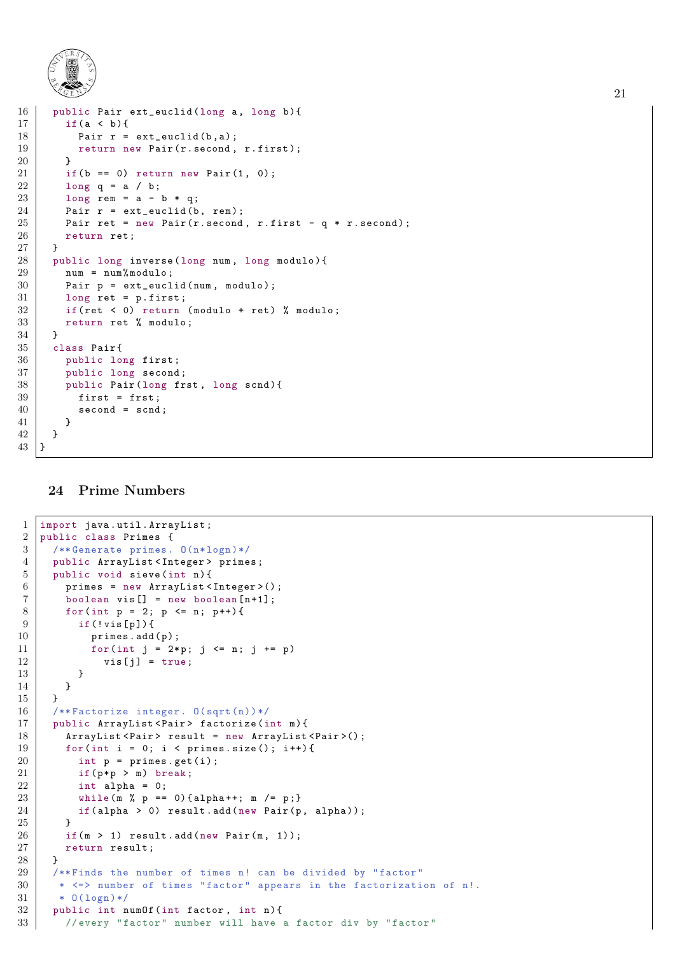

```
16 public Pair ext_euclid (long a, long b) {
17 if (a < b) {
18 Pair r = ext euclid (b, a);
19 return new Pair (r. second, r. first);
20 \mid 321 if (b == 0) return new Pair (1, 0);<br>
22 long a == a / b:
       long q = a / b;23 long rem = a - b * q;
24 Pair r = ext euclid (b, rem);<br>25 Pair ret = new Pair (r. second
       Pair ret = new Pair (r \cdot second, r . first - q * r . second);
26 return ret;
27\,28 public long inverse (long num, long modulo) {
29 num = num% modulo;
30 Pair p = ext-euclid (num, modulo);
31 long ret = p.first;
32 if(ret < 0) return (modulo + ret) % modulo;
33 return ret % modulo;
34 }
35 class Pair {
36 public long first ;
37 public long second;
38 public Pair (long frst, long scnd) {
39 first = frst;
40 second = scnd;
41 }
42 }
43 \mid \}
```
#### <span id="page-20-0"></span>24 Prime Numbers

```
1 import java . util . ArrayList ;
2 public class Primes {
3 / /** Generate primes. 0(n*logn)*/4 public ArrayList < Integer > primes;
5 public void sieve (int n) {
6 | primes = new ArrayList <Integer > ();
7 boolean vis [] = new boolean [n+1];
8 | for (int p = 2; p \le n; p++) {
9 if (! vis [p]) {
10 | primes.add(p);
11 | for(int j = 2*p; j <= n; j += p)
12 | vis [j] = true;
13 }
\begin{array}{c|c}\n 14 & & \rightarrow \\
 \hline\n 15 & & \rightarrow\n \end{array}15 }
16 /**Factorize integer. 0(sqrt(n))*/
17 | public ArrayList < Pair > factorize (int m) {
18 | ArrayList < Pair > result = new ArrayList < Pair > ();
19 | for (int i = 0; i < primes.size (); i++) {
20 int p = prime s.get(i);21 if (p*p > m) break;
22 int alpha = 0;
23 while (m \text{ % } p == 0) { alpha + +; m / = p; }
24 if(alpha > 0) result.add(new Pair(p, alpha));
25 }
26 if (m > 1) result . add (new Pair(m, 1));27 return result;
28 }
29 /**Finds the number of times n! can be divided by "factor"
30 * \le \ge number of times "factor" appears in the factorization of n!.
31 * 0(\log n)*/
32 public int numOf (int factor, int n) {
33 // every "factor" number will have a factor div by "factor"
```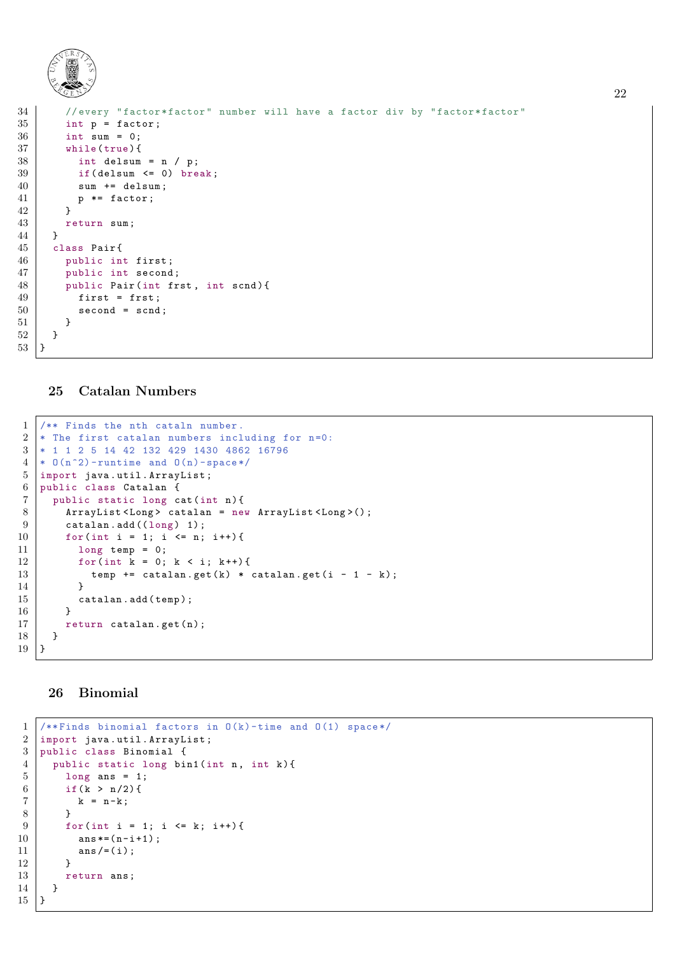

| 34 | //every "factor*factor" number will have a factor div by "factor*factor" |
|----|--------------------------------------------------------------------------|
| 35 | $int p = factor;$                                                        |
| 36 | int sum = $0$ ;                                                          |
| 37 | while (true)                                                             |
| 38 | int delsum = $n / p$ ;                                                   |
| 39 | if $\delta$ (delsum $\epsilon$ = 0) break;                               |
| 40 | sum += delsum;                                                           |
| 41 | $p * = factor;$                                                          |
| 42 | $\mathcal{F}$                                                            |
| 43 | return sum;                                                              |
| 44 | <u>}</u>                                                                 |
| 45 | class Pair{                                                              |
| 46 | public int first;                                                        |
| 47 | public int second;                                                       |
| 48 | public Pair(int frst, int scnd){                                         |
| 49 | $first = first;$                                                         |
| 50 | $second = send;$                                                         |
| 51 | ŀ                                                                        |
| 52 | ł                                                                        |
| 53 |                                                                          |

### <span id="page-21-0"></span>Catalan Numbers

```
1 \mid /** Finds the nth cataln number.
2 * The first catalan numbers including for n=0:
3 * 1 1 2 5 14 42 132 429 1430 4862 16796
4 \mid * 0(n^2) -runtime and 0(n)-space */
5 import java . util . ArrayList ;
6 public class Catalan {
7 | public static long cat (int n) {
8 | ArrayList < Long > catalan = new ArrayList < Long > ();
9 \mid catalan. add ((\text{long}) 1);
10 for (int i = 1; i <= n; i++) {
11 long temp = 0;
12 | for (int k = 0; k < i; k++) {
13 temp += catalan.get (k) * catalan.get (i - 1 - k);
14 }
15 catalan. add (temp);
16 }
17 return catalan.get (n);
18 }
19 }
```
# <span id="page-21-1"></span>Binomial

```
1 \mid (*\ Finds binomial factors in 0(k)-time and 0(1) space */
2 | import java.util.ArrayList;
3 public class Binomial {
4 public static long bin1 (int n, int k) {
5 long ans = 1;
6 if (k > n/2) {
7 \mid k = n-k;8 }
9 for (int i = 1; i <= k; i++) {
10 ans*(-n-i+1);\begin{array}{c|c} 11 & \text{ans } / = (i) ; \\ 12 & \text{ } \end{array}12 }
13 return ans;
14 }
15 }
```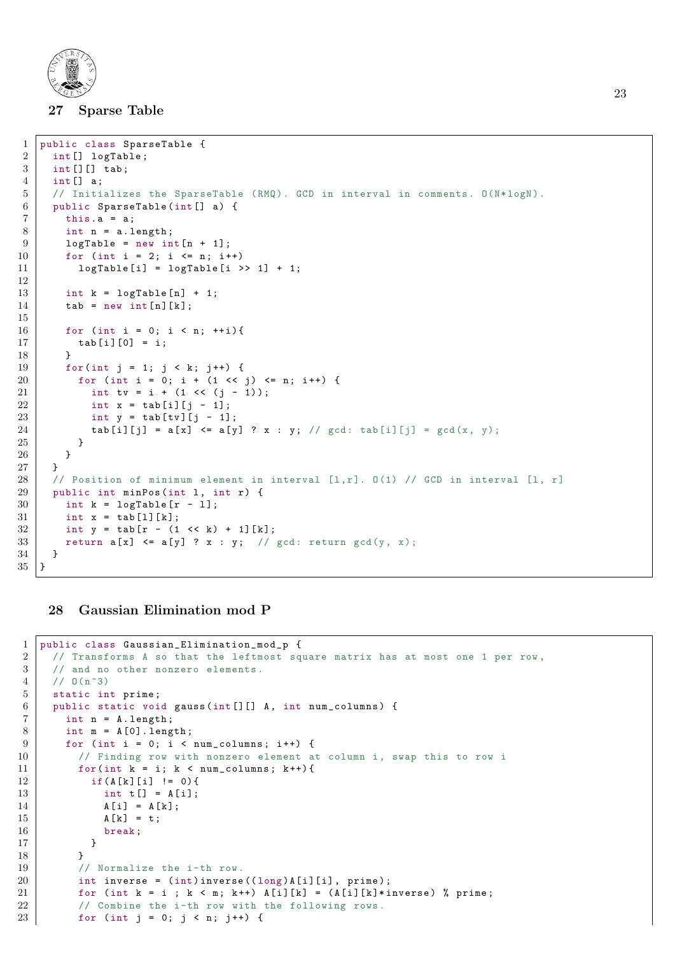

#### 27 Sparse Table

```
1 public class SparseTable {
\begin{array}{c|c} 2 & \text{int} \end{array} int [] logTable;<br>3 int [] [] tab:
      int []] tab;
 4 int [] a;
 5 // Initializes the SparseTable (RMQ). GCD in interval in comments. 0(N*logN).
 6 public SparseTable (int [] a) {
7 this . a = a;
 8 int n = a. length;
9 logTable = new int[n + 1];
\begin{array}{c|cccc}\n 10 & \text{for (int i = 2; i <= n; i++)} \\
 11 & \text{logTable[i] = logTable[i]}\n \end{array}logTable[i] = logTable[i] \rightarrow 1] + 1;12
13 int k = \text{logTable}[n] + 1;
14 tab = new int [n][k];
15
16 for (int i = 0; i < n; ++i){
17 \vert \text{tab} [i] [0] = i;18 }
19 | for (int j = 1; j < k; j ++) {
20 for (int i = 0; i + (1 << j) <= n; i++) {
21 int tv = i + (1 << (j - 1));
22 int x = tab[i][j - 1];23 int y = tab [tv] [j - 1];24 tab [i][j] = a[x] \leq a[y] ? x : y; // gcd: tab [i][j] = \text{gcd}(x, y);
25 }
26 }
27 \mid \}28 // Position of minimum element in interval [1,r]. 0(1) // GCD in interval [1, r]29 public int minPos (int 1, int r) {
30 int k = logTable [r - 1];
\begin{array}{c|c} 31 & \text{int } x = \text{tab}[1][k]; \\ 32 & \text{int } y = \text{tab[r - (1)}] \end{array}int y = tab [r - (1 \le k) + 1][k];33 return a[x] \leq a[y] ? x : y; // gcd: return gcd(y, x);
34 }
35 }
```
### <span id="page-22-0"></span>28 Gaussian Elimination mod P

```
1 public class Gaussian_Elimination_mod_p {
2 // Transforms A so that the leftmost square matrix has at most one 1 per row,
3 // and no other nonzero elements.
4 / / 0(n^3)5 static int prime;
6 public static void gauss (int [][] A, int num_columns) {
7 int n = A. length;
8 int m = A[0]. length;
9 \mid for (int i = 0; i < num_columns; i++) {
10 // Finding row with nonzero element at column i, swap this to row i
11 for (int k = i; k < num_{column}; k++) {
12 | if (A [k] [i] != 0) {
13 | int t[] = A[i];
14 A[i] = A[k];15 A[k] = t;
16 break;
17 }
18 }
19 // Normalize the i-th row.
20 int inverse = (int) inverse ((long) A[i][i], prime);
21 for (int k = i; k < m; k^{++}) A[i][k] = (A[i][k]*inverse) % prime;
22 // Combine the i-th row with the following rows.
23 for (int j = 0; j < n; j++) {
```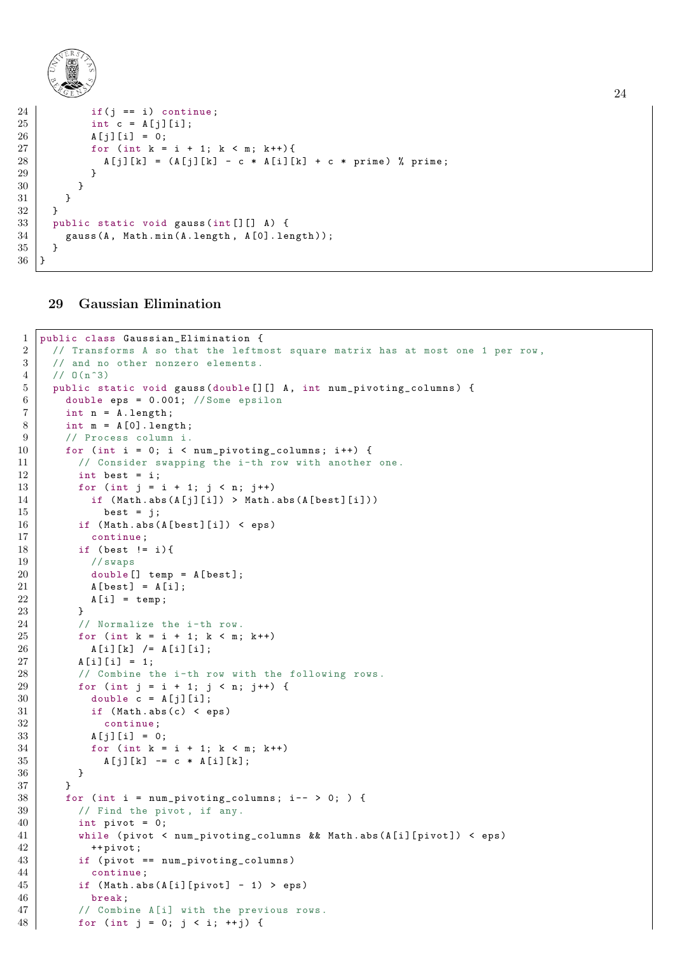

```
24 if (i == i) continue;
25 \vert int c = A[i][i];26 A[j][i] = 0;27 for (int k = i + 1; k < m; k++)28 \vert A [j][k] = (A[j][k] - c * A[i][k] + c * prime) % prime;
29 }
30 }
31 }
32 \mid \}33 public static void gauss (int [][] A) {
34 gauss (A, Math.min (A. length, A[O]. length));
35\,36 }
```
### <span id="page-23-0"></span>Gaussian Elimination

```
1 public class Gaussian_Elimination {
2 // Transforms A so that the leftmost square matrix has at most one 1 per row,
3 // and no other nonzero elements.
4 / / 0(n^3)5 public static void gauss (double [][] A, int num_pivoting_columns) {
6 double eps = 0.001; //Some epsilon
7 int n = A. length;
8 int m = A[0]. length;
9 // Process column i.
10 for (int i = 0; i < num_pivoting_columns; i++) {
11 // Consider swapping the i-th row with another one.
12 int best = i:
13 for (int j = i + 1; j < n; j^{++})
14 if (Math. abs(A[j][i]) > Math. abs(A[best][i]))15 best = j;
16 if (Math. abs (A[best][i]) < eps)
17 continue;
18 if (best != i) {
19 // swaps
20 double [] temp = A [best];
21 A [best] = A [i];22 A[i] = temp;23 }
24 // Normalize the i-th row.
25 for (int k = i + 1; k < m; k++)26 | A [i][k] / = A[i][i];27 A[i][i] = 1;28 / / Combine the i-th row with the following rows.
29 for (int j = i + 1; j < n; j++) {
30 double c = A[j][i];
31 if (Math. abs (c) < eps)
32 continue ;
33 A[i][i] = 0;34 for (int k = i + 1; k < m; k++)
35 | A[j][k] -= c * A [i][k];
36 }
37 }
38 for (int i = num_pivoting_columns; i-- > 0; ) {
39 // Find the pivot, if any.
40 int pivot = 0;
41 while ( pivot < num_pivoting_columns && Math . abs ( A [ i ][ pivot ]) < eps )
42 ++ pivot;
43 if ( pivot == num\_pivoting\_columns)
44 continue ;
45 if (Math. abs (A[i][pivot] - 1) > eps)46 break;
47 // Combine A[i] with the previous rows.
48 for (int j = 0; j < i; ++j) {
```